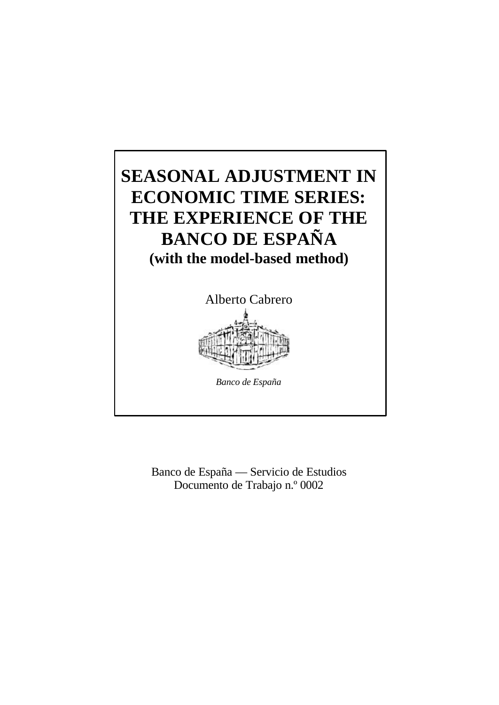

Banco de España — Servicio de Estudios Documento de Trabajo n.º 0002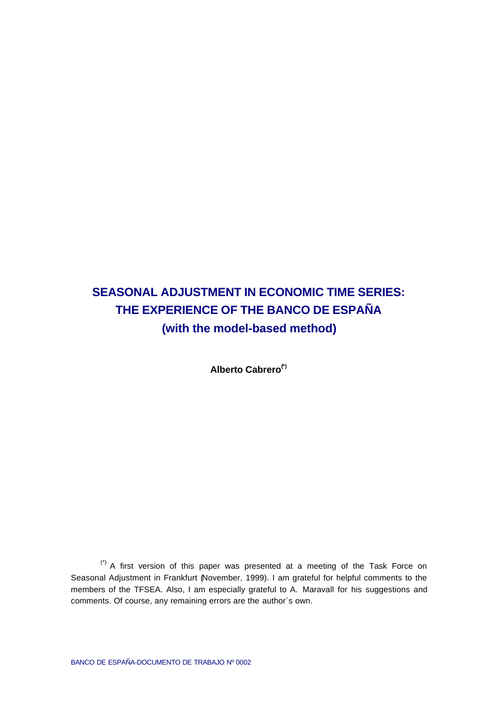# **SEASONAL ADJUSTMENT IN ECONOMIC TIME SERIES: THE EXPERIENCE OF THE BANCO DE ESPAÑA (with the model-based method)**

**Alberto Cabrero(\*)**

(\*) A first version of this paper was presented at a meeting of the Task Force on Seasonal Adjustment in Frankfurt (November, 1999). I am grateful for helpful comments to the members of the TFSEA. Also, I am especially grateful to A. Maravall for his suggestions and comments. Of course, any remaining errors are the author´s own.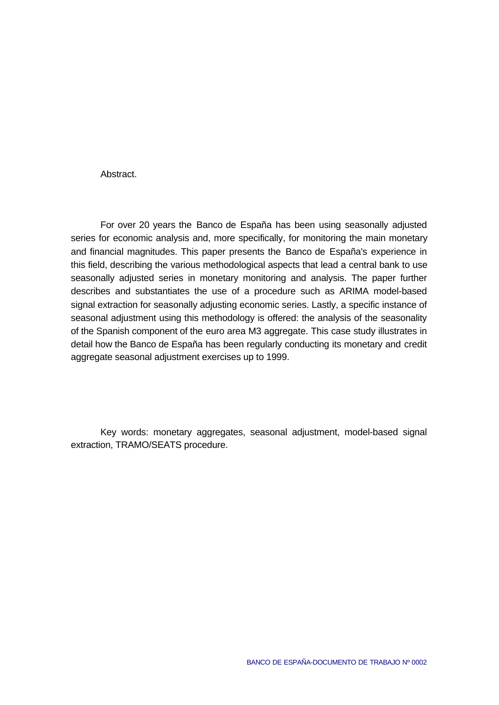#### Abstract.

For over 20 years the Banco de España has been using seasonally adjusted series for economic analysis and, more specifically, for monitoring the main monetary and financial magnitudes. This paper presents the Banco de España's experience in this field, describing the various methodological aspects that lead a central bank to use seasonally adjusted series in monetary monitoring and analysis. The paper further describes and substantiates the use of a procedure such as ARIMA model-based signal extraction for seasonally adjusting economic series. Lastly, a specific instance of seasonal adjustment using this methodology is offered: the analysis of the seasonality of the Spanish component of the euro area M3 aggregate. This case study illustrates in detail how the Banco de España has been regularly conducting its monetary and credit aggregate seasonal adjustment exercises up to 1999.

Key words: monetary aggregates, seasonal adjustment, model-based signal extraction, TRAMO/SEATS procedure.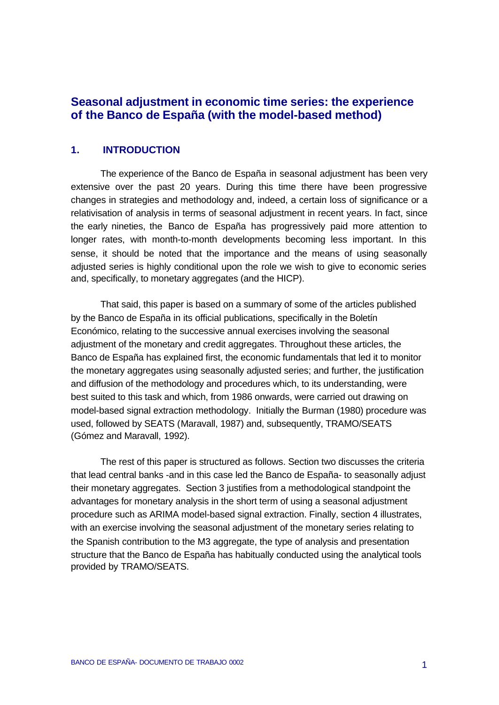# **Seasonal adjustment in economic time series: the experience of the Banco de España (with the model-based method)**

#### **1. INTRODUCTION**

The experience of the Banco de España in seasonal adjustment has been very extensive over the past 20 years. During this time there have been progressive changes in strategies and methodology and, indeed, a certain loss of significance or a relativisation of analysis in terms of seasonal adjustment in recent years. In fact, since the early nineties, the Banco de España has progressively paid more attention to longer rates, with month-to-month developments becoming less important. In this sense, it should be noted that the importance and the means of using seasonally adjusted series is highly conditional upon the role we wish to give to economic series and, specifically, to monetary aggregates (and the HICP).

That said, this paper is based on a summary of some of the articles published by the Banco de España in its official publications, specifically in the Boletín Económico, relating to the successive annual exercises involving the seasonal adjustment of the monetary and credit aggregates. Throughout these articles, the Banco de España has explained first, the economic fundamentals that led it to monitor the monetary aggregates using seasonally adjusted series; and further, the justification and diffusion of the methodology and procedures which, to its understanding, were best suited to this task and which, from 1986 onwards, were carried out drawing on model-based signal extraction methodology. Initially the Burman (1980) procedure was used, followed by SEATS (Maravall, 1987) and, subsequently, TRAMO/SEATS (Gómez and Maravall, 1992).

The rest of this paper is structured as follows. Section two discusses the criteria that lead central banks -and in this case led the Banco de España- to seasonally adjust their monetary aggregates. Section 3 justifies from a methodological standpoint the advantages for monetary analysis in the short term of using a seasonal adjustment procedure such as ARIMA model-based signal extraction. Finally, section 4 illustrates, with an exercise involving the seasonal adjustment of the monetary series relating to the Spanish contribution to the M3 aggregate, the type of analysis and presentation structure that the Banco de España has habitually conducted using the analytical tools provided by TRAMO/SEATS.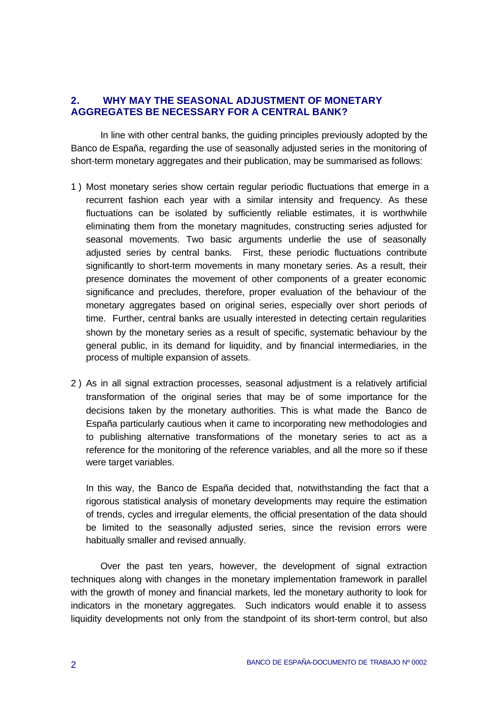## **2. WHY MAY THE SEASONAL ADJUSTMENT OF MONETARY AGGREGATES BE NECESSARY FOR A CENTRAL BANK?**

In line with other central banks, the guiding principles previously adopted by the Banco de España, regarding the use of seasonally adjusted series in the monitoring of short-term monetary aggregates and their publication, may be summarised as follows:

- 1 ) Most monetary series show certain regular periodic fluctuations that emerge in a recurrent fashion each year with a similar intensity and frequency. As these fluctuations can be isolated by sufficiently reliable estimates, it is worthwhile eliminating them from the monetary magnitudes, constructing series adjusted for seasonal movements. Two basic arguments underlie the use of seasonally adjusted series by central banks. First, these periodic fluctuations contribute significantly to short-term movements in many monetary series. As a result, their presence dominates the movement of other components of a greater economic significance and precludes, therefore, proper evaluation of the behaviour of the monetary aggregates based on original series, especially over short periods of time. Further, central banks are usually interested in detecting certain regularities shown by the monetary series as a result of specific, systematic behaviour by the general public, in its demand for liquidity, and by financial intermediaries, in the process of multiple expansion of assets.
- 2 ) As in all signal extraction processes, seasonal adjustment is a relatively artificial transformation of the original series that may be of some importance for the decisions taken by the monetary authorities. This is what made the Banco de España particularly cautious when it came to incorporating new methodologies and to publishing alternative transformations of the monetary series to act as a reference for the monitoring of the reference variables, and all the more so if these were target variables.

In this way, the Banco de España decided that, notwithstanding the fact that a rigorous statistical analysis of monetary developments may require the estimation of trends, cycles and irregular elements, the official presentation of the data should be limited to the seasonally adjusted series, since the revision errors were habitually smaller and revised annually.

Over the past ten years, however, the development of signal extraction techniques along with changes in the monetary implementation framework in parallel with the growth of money and financial markets, led the monetary authority to look for indicators in the monetary aggregates. Such indicators would enable it to assess liquidity developments not only from the standpoint of its short-term control, but also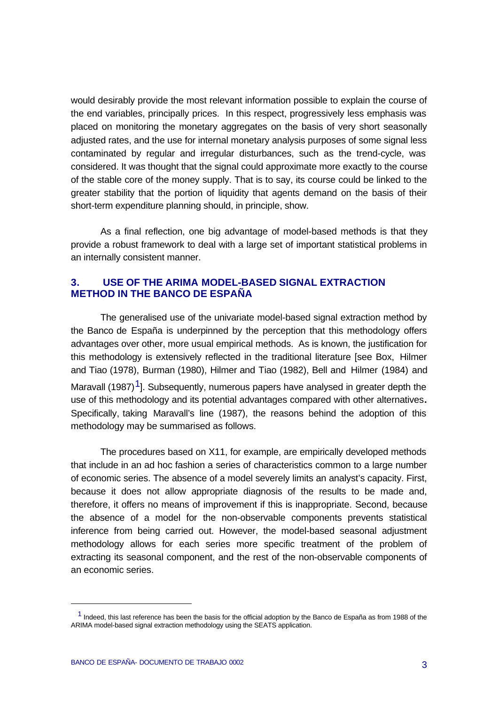would desirably provide the most relevant information possible to explain the course of the end variables, principally prices. In this respect, progressively less emphasis was placed on monitoring the monetary aggregates on the basis of very short seasonally adjusted rates, and the use for internal monetary analysis purposes of some signal less contaminated by regular and irregular disturbances, such as the trend-cycle, was considered. It was thought that the signal could approximate more exactly to the course of the stable core of the money supply. That is to say, its course could be linked to the greater stability that the portion of liquidity that agents demand on the basis of their short-term expenditure planning should, in principle, show.

As a final reflection, one big advantage of model-based methods is that they provide a robust framework to deal with a large set of important statistical problems in an internally consistent manner.

#### **3. USE OF THE ARIMA MODEL-BASED SIGNAL EXTRACTION METHOD IN THE BANCO DE ESPAÑA**

The generalised use of the univariate model-based signal extraction method by the Banco de España is underpinned by the perception that this methodology offers advantages over other, more usual empirical methods. As is known, the justification for this methodology is extensively reflected in the traditional literature [see Box, Hilmer and Tiao (1978), Burman (1980), Hilmer and Tiao (1982), Bell and Hilmer (1984) and Maravall (1987)<sup>1</sup>]. Subsequently, numerous papers have analysed in greater depth the use of this methodology and its potential advantages compared with other alternatives**.** Specifically, taking Maravall's line (1987), the reasons behind the adoption of this methodology may be summarised as follows.

The procedures based on X11, for example, are empirically developed methods that include in an ad hoc fashion a series of characteristics common to a large number of economic series. The absence of a model severely limits an analyst's capacity. First, because it does not allow appropriate diagnosis of the results to be made and, therefore, it offers no means of improvement if this is inappropriate. Second, because the absence of a model for the non-observable components prevents statistical inference from being carried out. However, the model-based seasonal adjustment methodology allows for each series more specific treatment of the problem of extracting its seasonal component, and the rest of the non-observable components of an economic series.

j

 $<sup>1</sup>$  Indeed, this last reference has been the basis for the official adoption by the Banco de España as from 1988 of the</sup> ARIMA model-based signal extraction methodology using the SEATS application.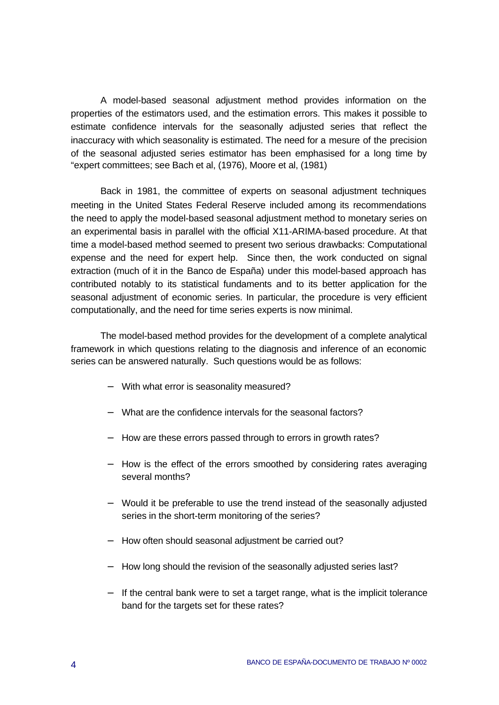A model-based seasonal adjustment method provides information on the properties of the estimators used, and the estimation errors. This makes it possible to estimate confidence intervals for the seasonally adjusted series that reflect the inaccuracy with which seasonality is estimated. The need for a mesure of the precision of the seasonal adjusted series estimator has been emphasised for a long time by "expert committees; see Bach et al, (1976), Moore et al, (1981)

Back in 1981, the committee of experts on seasonal adjustment techniques meeting in the United States Federal Reserve included among its recommendations the need to apply the model-based seasonal adjustment method to monetary series on an experimental basis in parallel with the official X11-ARIMA-based procedure. At that time a model-based method seemed to present two serious drawbacks: Computational expense and the need for expert help. Since then, the work conducted on signal extraction (much of it in the Banco de España) under this model-based approach has contributed notably to its statistical fundaments and to its better application for the seasonal adjustment of economic series. In particular, the procedure is very efficient computationally, and the need for time series experts is now minimal.

The model-based method provides for the development of a complete analytical framework in which questions relating to the diagnosis and inference of an economic series can be answered naturally. Such questions would be as follows:

- − With what error is seasonality measured?
- − What are the confidence intervals for the seasonal factors?
- − How are these errors passed through to errors in growth rates?
- − How is the effect of the errors smoothed by considering rates averaging several months?
- − Would it be preferable to use the trend instead of the seasonally adjusted series in the short-term monitoring of the series?
- − How often should seasonal adjustment be carried out?
- − How long should the revision of the seasonally adjusted series last?
- − If the central bank were to set a target range, what is the implicit tolerance band for the targets set for these rates?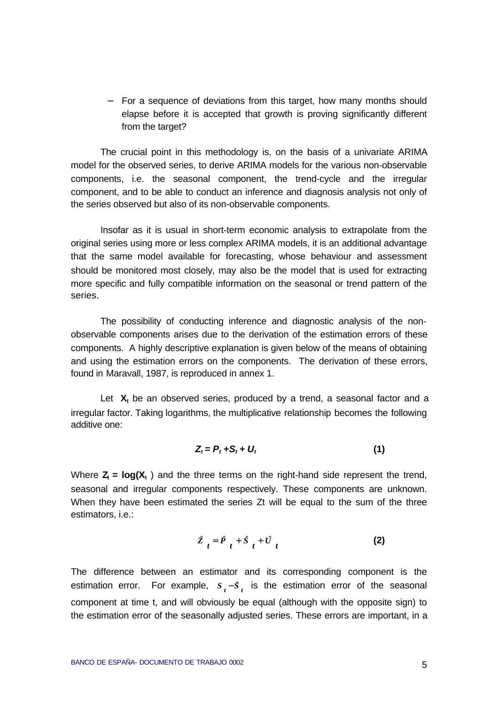− For a sequence of deviations from this target, how many months should elapse before it is accepted that growth is proving significantly different from the target?

The crucial point in this methodology is, on the basis of a univariate ARIMA model for the observed series, to derive ARIMA models for the various non-observable components, i.e. the seasonal component, the trend-cycle and the irregular component, and to be able to conduct an inference and diagnosis analysis not only of the series observed but also of its non-observable components.

Insofar as it is usual in short-term economic analysis to extrapolate from the original series using more or less complex ARIMA models, it is an additional advantage that the same model available for forecasting, whose behaviour and assessment should be monitored most closely, may also be the model that is used for extracting more specific and fully compatible information on the seasonal or trend pattern of the series.

The possibility of conducting inference and diagnostic analysis of the nonobservable components arises due to the derivation of the estimation errors of these components. A highly descriptive explanation is given below of the means of obtaining and using the estimation errors on the components. The derivation of these errors, found in Maravall, 1987, is reproduced in annex 1.

Let  $X_t$  be an observed series, produced by a trend, a seasonal factor and a irregular factor. Taking logarithms, the multiplicative relationship becomes the following additive one:

$$
Z_t = P_t + S_t + U_t \tag{1}
$$

Where  $Z_t = \log(X_t)$  and the three terms on the right-hand side represent the trend, seasonal and irregular components respectively. These components are unknown. When they have been estimated the series Zt will be equal to the sum of the three estimators, i.e.:

$$
Z_t = \hat{P}_t + \hat{S}_t + \hat{U}_t \tag{2}
$$

The difference between an estimator and its corresponding component is the estimation error. For example,  $s<sub>t</sub> - s<sub>t</sub>$  is the estimation error of the seasonal component at time t, and will obviously be equal (although with the opposite sign) to the estimation error of the seasonally adjusted series. These errors are important, in a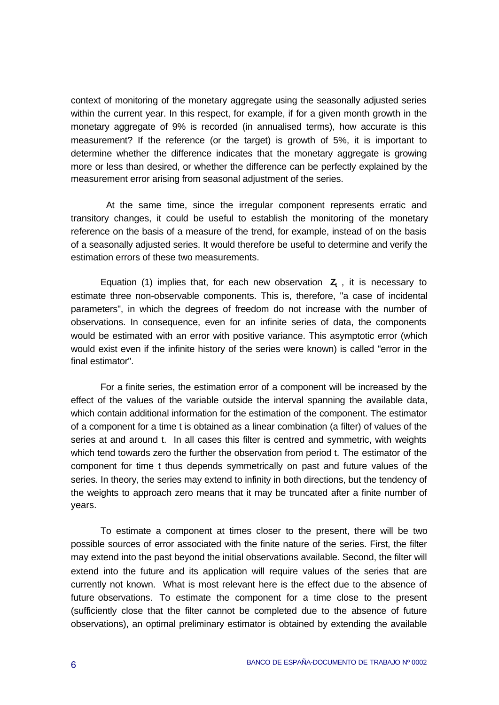context of monitoring of the monetary aggregate using the seasonally adjusted series within the current year. In this respect, for example, if for a given month growth in the monetary aggregate of 9% is recorded (in annualised terms), how accurate is this measurement? If the reference (or the target) is growth of 5%, it is important to determine whether the difference indicates that the monetary aggregate is growing more or less than desired, or whether the difference can be perfectly explained by the measurement error arising from seasonal adjustment of the series.

 At the same time, since the irregular component represents erratic and transitory changes, it could be useful to establish the monitoring of the monetary reference on the basis of a measure of the trend, for example, instead of on the basis of a seasonally adjusted series. It would therefore be useful to determine and verify the estimation errors of these two measurements.

Equation (1) implies that, for each new observation **Z<sup>t</sup>** , it is necessary to estimate three non-observable components. This is, therefore, "a case of incidental parameters", in which the degrees of freedom do not increase with the number of observations. In consequence, even for an infinite series of data, the components would be estimated with an error with positive variance. This asymptotic error (which would exist even if the infinite history of the series were known) is called "error in the final estimator".

For a finite series, the estimation error of a component will be increased by the effect of the values of the variable outside the interval spanning the available data, which contain additional information for the estimation of the component. The estimator of a component for a time t is obtained as a linear combination (a filter) of values of the series at and around t. In all cases this filter is centred and symmetric, with weights which tend towards zero the further the observation from period t. The estimator of the component for time t thus depends symmetrically on past and future values of the series. In theory, the series may extend to infinity in both directions, but the tendency of the weights to approach zero means that it may be truncated after a finite number of years.

To estimate a component at times closer to the present, there will be two possible sources of error associated with the finite nature of the series. First, the filter may extend into the past beyond the initial observations available. Second, the filter will extend into the future and its application will require values of the series that are currently not known. What is most relevant here is the effect due to the absence of future observations. To estimate the component for a time close to the present (sufficiently close that the filter cannot be completed due to the absence of future observations), an optimal preliminary estimator is obtained by extending the available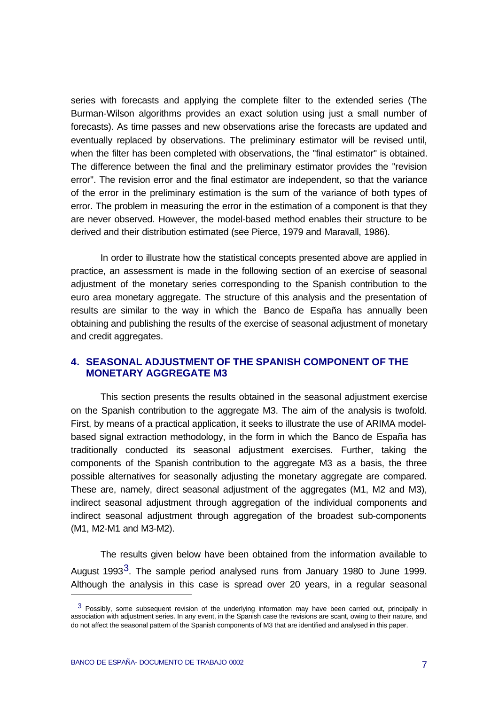series with forecasts and applying the complete filter to the extended series (The Burman-Wilson algorithms provides an exact solution using just a small number of forecasts). As time passes and new observations arise the forecasts are updated and eventually replaced by observations. The preliminary estimator will be revised until, when the filter has been completed with observations, the "final estimator" is obtained. The difference between the final and the preliminary estimator provides the "revision error". The revision error and the final estimator are independent, so that the variance of the error in the preliminary estimation is the sum of the variance of both types of error. The problem in measuring the error in the estimation of a component is that they are never observed. However, the model-based method enables their structure to be derived and their distribution estimated (see Pierce, 1979 and Maravall, 1986).

In order to illustrate how the statistical concepts presented above are applied in practice, an assessment is made in the following section of an exercise of seasonal adjustment of the monetary series corresponding to the Spanish contribution to the euro area monetary aggregate. The structure of this analysis and the presentation of results are similar to the way in which the Banco de España has annually been obtaining and publishing the results of the exercise of seasonal adjustment of monetary and credit aggregates.

## **4. SEASONAL ADJUSTMENT OF THE SPANISH COMPONENT OF THE MONETARY AGGREGATE M3**

This section presents the results obtained in the seasonal adjustment exercise on the Spanish contribution to the aggregate M3. The aim of the analysis is twofold. First, by means of a practical application, it seeks to illustrate the use of ARIMA modelbased signal extraction methodology, in the form in which the Banco de España has traditionally conducted its seasonal adjustment exercises. Further, taking the components of the Spanish contribution to the aggregate M3 as a basis, the three possible alternatives for seasonally adjusting the monetary aggregate are compared. These are, namely, direct seasonal adjustment of the aggregates (M1, M2 and M3), indirect seasonal adjustment through aggregation of the individual components and indirect seasonal adjustment through aggregation of the broadest sub-components (M1, M2-M1 and M3-M2).

The results given below have been obtained from the information available to August 1993<sup>3</sup>. The sample period analysed runs from January 1980 to June 1999. Although the analysis in this case is spread over 20 years, in a regular seasonal

j

 $3$  Possibly, some subsequent revision of the underlying information may have been carried out, principally in association with adjustment series. In any event, in the Spanish case the revisions are scant, owing to their nature, and do not affect the seasonal pattern of the Spanish components of M3 that are identified and analysed in this paper.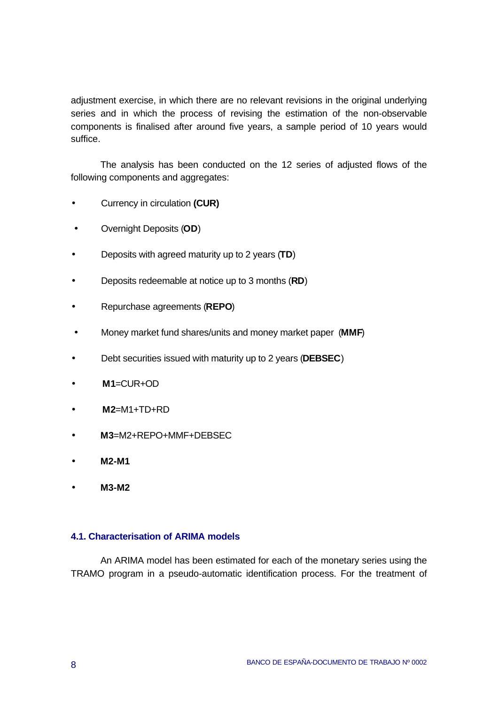adjustment exercise, in which there are no relevant revisions in the original underlying series and in which the process of revising the estimation of the non-observable components is finalised after around five years, a sample period of 10 years would suffice.

The analysis has been conducted on the 12 series of adjusted flows of the following components and aggregates:

- Currency in circulation **(CUR)**
- Overnight Deposits (**OD**)
- Deposits with agreed maturity up to 2 years (**TD**)
- Deposits redeemable at notice up to 3 months (**RD**)
- Repurchase agreements (**REPO**)
- Money market fund shares/units and money market paper (**MMF**)
- Debt securities issued with maturity up to 2 years (**DEBSEC**)
- **M1**=CUR+OD
- **M2**=M1+TD+RD
- **M3**=M2+REPO+MMF+DEBSEC
- **M2-M1**
- **M3-M2**

#### **4.1. Characterisation of ARIMA models**

An ARIMA model has been estimated for each of the monetary series using the TRAMO program in a pseudo-automatic identification process. For the treatment of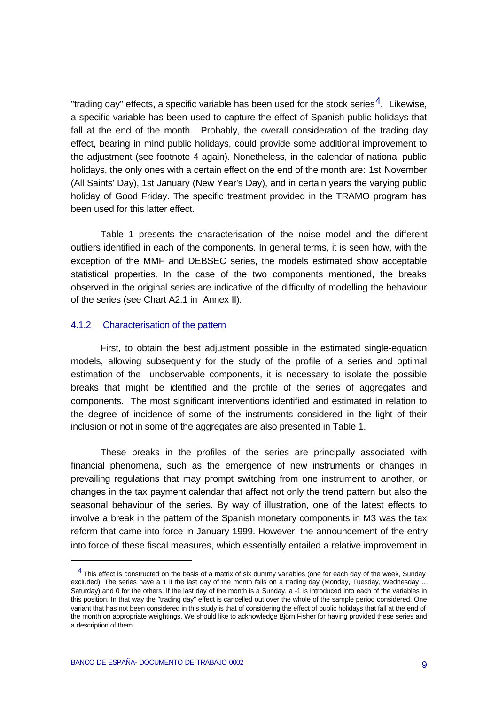"trading day" effects, a specific variable has been used for the stock series<sup>4</sup>. Likewise, a specific variable has been used to capture the effect of Spanish public holidays that fall at the end of the month. Probably, the overall consideration of the trading day effect, bearing in mind public holidays, could provide some additional improvement to the adjustment (see footnote 4 again). Nonetheless, in the calendar of national public holidays, the only ones with a certain effect on the end of the month are: 1st November (All Saints' Day), 1st January (New Year's Day), and in certain years the varying public holiday of Good Friday. The specific treatment provided in the TRAMO program has been used for this latter effect.

Table 1 presents the characterisation of the noise model and the different outliers identified in each of the components. In general terms, it is seen how, with the exception of the MMF and DEBSEC series, the models estimated show acceptable statistical properties. In the case of the two components mentioned, the breaks observed in the original series are indicative of the difficulty of modelling the behaviour of the series (see Chart A2.1 in Annex II).

#### 4.1.2 Characterisation of the pattern

First, to obtain the best adjustment possible in the estimated single-equation models, allowing subsequently for the study of the profile of a series and optimal estimation of the unobservable components, it is necessary to isolate the possible breaks that might be identified and the profile of the series of aggregates and components. The most significant interventions identified and estimated in relation to the degree of incidence of some of the instruments considered in the light of their inclusion or not in some of the aggregates are also presented in Table 1.

These breaks in the profiles of the series are principally associated with financial phenomena, such as the emergence of new instruments or changes in prevailing regulations that may prompt switching from one instrument to another, or changes in the tax payment calendar that affect not only the trend pattern but also the seasonal behaviour of the series. By way of illustration, one of the latest effects to involve a break in the pattern of the Spanish monetary components in M3 was the tax reform that came into force in January 1999. However, the announcement of the entry into force of these fiscal measures, which essentially entailed a relative improvement in

j

 $<sup>4</sup>$  This effect is constructed on the basis of a matrix of six dummy variables (one for each day of the week, Sunday</sup> excluded). The series have a 1 if the last day of the month falls on a trading day (Monday, Tuesday, Wednesday … Saturday) and 0 for the others. If the last day of the month is a Sunday, a -1 is introduced into each of the variables in this position. In that way the "trading day" effect is cancelled out over the whole of the sample period considered. One variant that has not been considered in this study is that of considering the effect of public holidays that fall at the end of the month on appropriate weightings. We should like to acknowledge Björn Fisher for having provided these series and a description of them.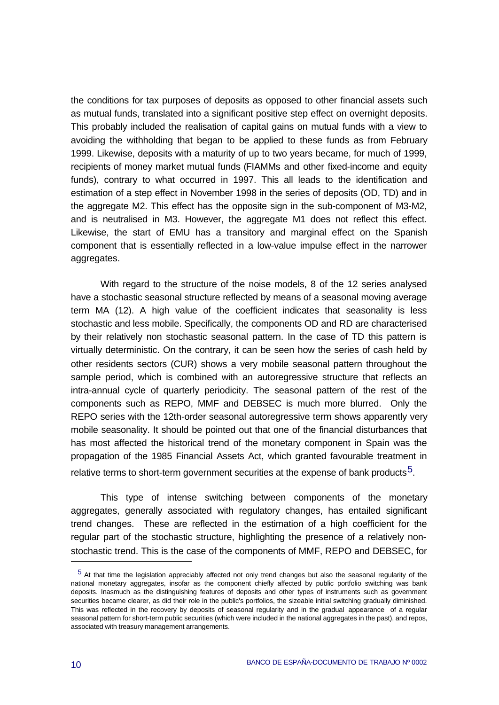the conditions for tax purposes of deposits as opposed to other financial assets such as mutual funds, translated into a significant positive step effect on overnight deposits. This probably included the realisation of capital gains on mutual funds with a view to avoiding the withholding that began to be applied to these funds as from February 1999. Likewise, deposits with a maturity of up to two years became, for much of 1999, recipients of money market mutual funds (FIAMMs and other fixed-income and equity funds), contrary to what occurred in 1997. This all leads to the identification and estimation of a step effect in November 1998 in the series of deposits (OD, TD) and in the aggregate M2. This effect has the opposite sign in the sub-component of M3-M2, and is neutralised in M3. However, the aggregate M1 does not reflect this effect. Likewise, the start of EMU has a transitory and marginal effect on the Spanish component that is essentially reflected in a low-value impulse effect in the narrower aggregates.

With regard to the structure of the noise models, 8 of the 12 series analysed have a stochastic seasonal structure reflected by means of a seasonal moving average term MA (12). A high value of the coefficient indicates that seasonality is less stochastic and less mobile. Specifically, the components OD and RD are characterised by their relatively non stochastic seasonal pattern. In the case of TD this pattern is virtually deterministic. On the contrary, it can be seen how the series of cash held by other residents sectors (CUR) shows a very mobile seasonal pattern throughout the sample period, which is combined with an autoregressive structure that reflects an intra-annual cycle of quarterly periodicity. The seasonal pattern of the rest of the components such as REPO, MMF and DEBSEC is much more blurred. Only the REPO series with the 12th-order seasonal autoregressive term shows apparently very mobile seasonality. It should be pointed out that one of the financial disturbances that has most affected the historical trend of the monetary component in Spain was the propagation of the 1985 Financial Assets Act, which granted favourable treatment in relative terms to short-term government securities at the expense of bank products<sup>5</sup>.

This type of intense switching between components of the monetary aggregates, generally associated with regulatory changes, has entailed significant trend changes. These are reflected in the estimation of a high coefficient for the regular part of the stochastic structure, highlighting the presence of a relatively nonstochastic trend. This is the case of the components of MMF, REPO and DEBSEC, for

j

<sup>5</sup> At that time the legislation appreciably affected not only trend changes but also the seasonal regularity of the national monetary aggregates, insofar as the component chiefly affected by public portfolio switching was bank deposits. Inasmuch as the distinguishing features of deposits and other types of instruments such as government securities became clearer, as did their role in the public's portfolios, the sizeable initial switching gradually diminished. This was reflected in the recovery by deposits of seasonal regularity and in the gradual appearance of a regular seasonal pattern for short-term public securities (which were included in the national aggregates in the past), and repos, associated with treasury management arrangements.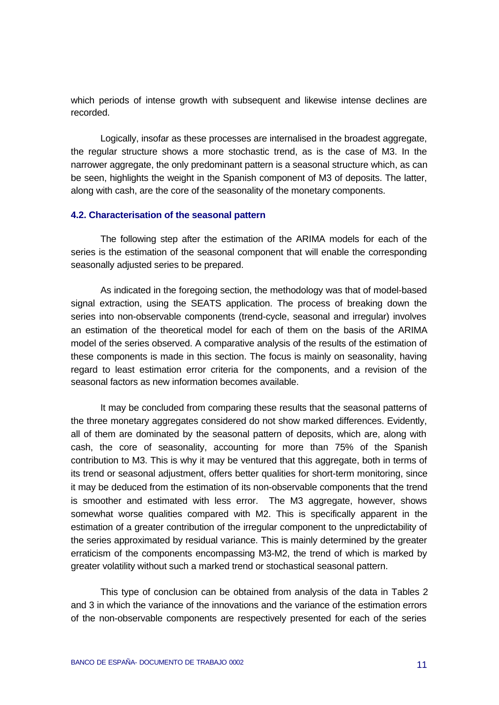which periods of intense growth with subsequent and likewise intense declines are recorded.

Logically, insofar as these processes are internalised in the broadest aggregate, the regular structure shows a more stochastic trend, as is the case of M3. In the narrower aggregate, the only predominant pattern is a seasonal structure which, as can be seen, highlights the weight in the Spanish component of M3 of deposits. The latter, along with cash, are the core of the seasonality of the monetary components.

#### **4.2. Characterisation of the seasonal pattern**

The following step after the estimation of the ARIMA models for each of the series is the estimation of the seasonal component that will enable the corresponding seasonally adjusted series to be prepared.

As indicated in the foregoing section, the methodology was that of model-based signal extraction, using the SEATS application. The process of breaking down the series into non-observable components (trend-cycle, seasonal and irregular) involves an estimation of the theoretical model for each of them on the basis of the ARIMA model of the series observed. A comparative analysis of the results of the estimation of these components is made in this section. The focus is mainly on seasonality, having regard to least estimation error criteria for the components, and a revision of the seasonal factors as new information becomes available.

It may be concluded from comparing these results that the seasonal patterns of the three monetary aggregates considered do not show marked differences. Evidently, all of them are dominated by the seasonal pattern of deposits, which are, along with cash, the core of seasonality, accounting for more than 75% of the Spanish contribution to M3. This is why it may be ventured that this aggregate, both in terms of its trend or seasonal adjustment, offers better qualities for short-term monitoring, since it may be deduced from the estimation of its non-observable components that the trend is smoother and estimated with less error. The M3 aggregate, however, shows somewhat worse qualities compared with M2. This is specifically apparent in the estimation of a greater contribution of the irregular component to the unpredictability of the series approximated by residual variance. This is mainly determined by the greater erraticism of the components encompassing M3-M2, the trend of which is marked by greater volatility without such a marked trend or stochastical seasonal pattern.

This type of conclusion can be obtained from analysis of the data in Tables 2 and 3 in which the variance of the innovations and the variance of the estimation errors of the non-observable components are respectively presented for each of the series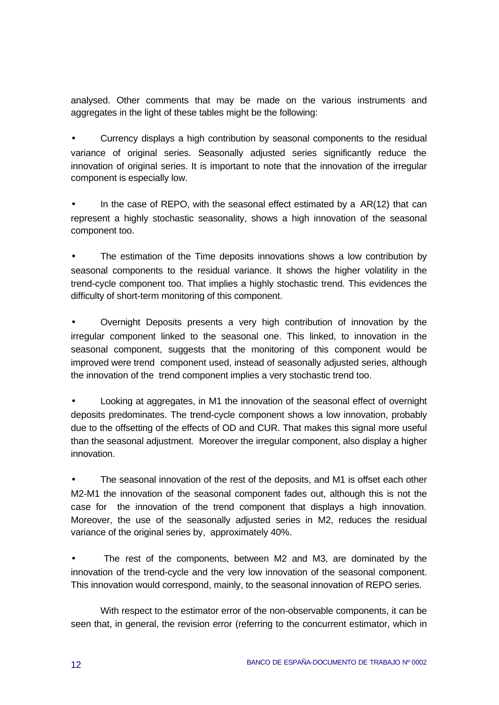analysed. Other comments that may be made on the various instruments and aggregates in the light of these tables might be the following:

• Currency displays a high contribution by seasonal components to the residual variance of original series. Seasonally adjusted series significantly reduce the innovation of original series. It is important to note that the innovation of the irregular component is especially low.

In the case of REPO, with the seasonal effect estimated by a  $AR(12)$  that can represent a highly stochastic seasonality, shows a high innovation of the seasonal component too.

The estimation of the Time deposits innovations shows a low contribution by seasonal components to the residual variance. It shows the higher volatility in the trend-cycle component too. That implies a highly stochastic trend. This evidences the difficulty of short-term monitoring of this component.

• Overnight Deposits presents a very high contribution of innovation by the irregular component linked to the seasonal one. This linked, to innovation in the seasonal component, suggests that the monitoring of this component would be improved were trend component used, instead of seasonally adjusted series, although the innovation of the trend component implies a very stochastic trend too.

• Looking at aggregates, in M1 the innovation of the seasonal effect of overnight deposits predominates. The trend-cycle component shows a low innovation, probably due to the offsetting of the effects of OD and CUR. That makes this signal more useful than the seasonal adjustment. Moreover the irregular component, also display a higher innovation.

The seasonal innovation of the rest of the deposits, and M1 is offset each other M2-M1 the innovation of the seasonal component fades out, although this is not the case for the innovation of the trend component that displays a high innovation. Moreover, the use of the seasonally adjusted series in M2, reduces the residual variance of the original series by, approximately 40%.

The rest of the components, between M2 and M3, are dominated by the innovation of the trend-cycle and the very low innovation of the seasonal component. This innovation would correspond, mainly, to the seasonal innovation of REPO series.

With respect to the estimator error of the non-observable components, it can be seen that, in general, the revision error (referring to the concurrent estimator, which in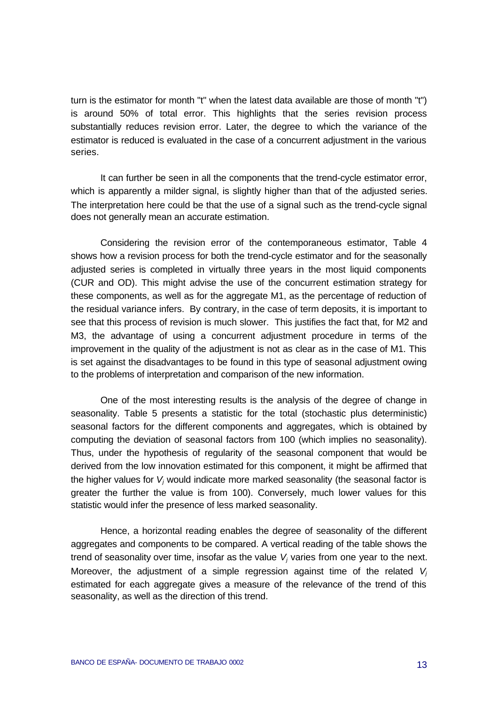turn is the estimator for month "t" when the latest data available are those of month "t") is around 50% of total error. This highlights that the series revision process substantially reduces revision error. Later, the degree to which the variance of the estimator is reduced is evaluated in the case of a concurrent adjustment in the various series.

It can further be seen in all the components that the trend-cycle estimator error, which is apparently a milder signal, is slightly higher than that of the adjusted series. The interpretation here could be that the use of a signal such as the trend-cycle signal does not generally mean an accurate estimation.

Considering the revision error of the contemporaneous estimator, Table 4 shows how a revision process for both the trend-cycle estimator and for the seasonally adjusted series is completed in virtually three years in the most liquid components (CUR and OD). This might advise the use of the concurrent estimation strategy for these components, as well as for the aggregate M1, as the percentage of reduction of the residual variance infers. By contrary, in the case of term deposits, it is important to see that this process of revision is much slower. This justifies the fact that, for M2 and M3, the advantage of using a concurrent adjustment procedure in terms of the improvement in the quality of the adjustment is not as clear as in the case of M1. This is set against the disadvantages to be found in this type of seasonal adjustment owing to the problems of interpretation and comparison of the new information.

One of the most interesting results is the analysis of the degree of change in seasonality. Table 5 presents a statistic for the total (stochastic plus deterministic) seasonal factors for the different components and aggregates, which is obtained by computing the deviation of seasonal factors from 100 (which implies no seasonality). Thus, under the hypothesis of regularity of the seasonal component that would be derived from the low innovation estimated for this component, it might be affirmed that the higher values for *Vj* would indicate more marked seasonality (the seasonal factor is greater the further the value is from 100). Conversely, much lower values for this statistic would infer the presence of less marked seasonality.

Hence, a horizontal reading enables the degree of seasonality of the different aggregates and components to be compared. A vertical reading of the table shows the trend of seasonality over time, insofar as the value *Vj* varies from one year to the next. Moreover, the adjustment of a simple regression against time of the related *V<sup>j</sup>* estimated for each aggregate gives a measure of the relevance of the trend of this seasonality, as well as the direction of this trend.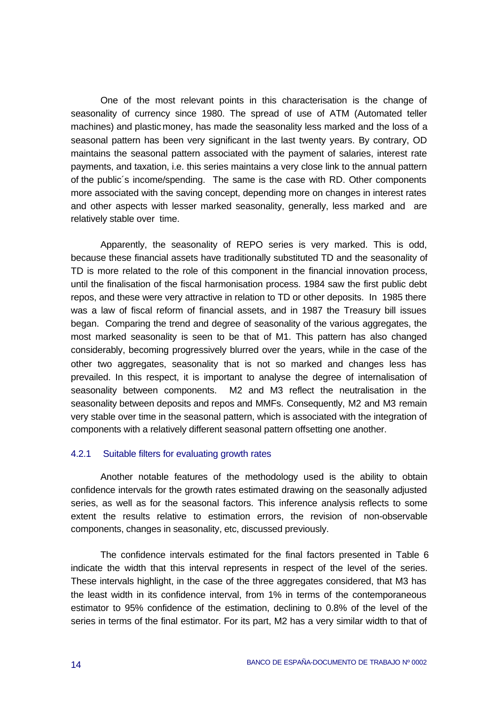One of the most relevant points in this characterisation is the change of seasonality of currency since 1980. The spread of use of ATM (Automated teller machines) and plastic money, has made the seasonality less marked and the loss of a seasonal pattern has been very significant in the last twenty years. By contrary, OD maintains the seasonal pattern associated with the payment of salaries, interest rate payments, and taxation, i.e. this series maintains a very close link to the annual pattern of the public´s income/spending. The same is the case with RD. Other components more associated with the saving concept, depending more on changes in interest rates and other aspects with lesser marked seasonality, generally, less marked and are relatively stable over time.

Apparently, the seasonality of REPO series is very marked. This is odd, because these financial assets have traditionally substituted TD and the seasonality of TD is more related to the role of this component in the financial innovation process, until the finalisation of the fiscal harmonisation process. 1984 saw the first public debt repos, and these were very attractive in relation to TD or other deposits. In 1985 there was a law of fiscal reform of financial assets, and in 1987 the Treasury bill issues began. Comparing the trend and degree of seasonality of the various aggregates, the most marked seasonality is seen to be that of M1. This pattern has also changed considerably, becoming progressively blurred over the years, while in the case of the other two aggregates, seasonality that is not so marked and changes less has prevailed. In this respect, it is important to analyse the degree of internalisation of seasonality between components. M2 and M3 reflect the neutralisation in the seasonality between deposits and repos and MMFs. Consequently, M2 and M3 remain very stable over time in the seasonal pattern, which is associated with the integration of components with a relatively different seasonal pattern offsetting one another.

#### 4.2.1 Suitable filters for evaluating growth rates

Another notable features of the methodology used is the ability to obtain confidence intervals for the growth rates estimated drawing on the seasonally adjusted series, as well as for the seasonal factors. This inference analysis reflects to some extent the results relative to estimation errors, the revision of non-observable components, changes in seasonality, etc, discussed previously.

The confidence intervals estimated for the final factors presented in Table 6 indicate the width that this interval represents in respect of the level of the series. These intervals highlight, in the case of the three aggregates considered, that M3 has the least width in its confidence interval, from 1% in terms of the contemporaneous estimator to 95% confidence of the estimation, declining to 0.8% of the level of the series in terms of the final estimator. For its part, M2 has a very similar width to that of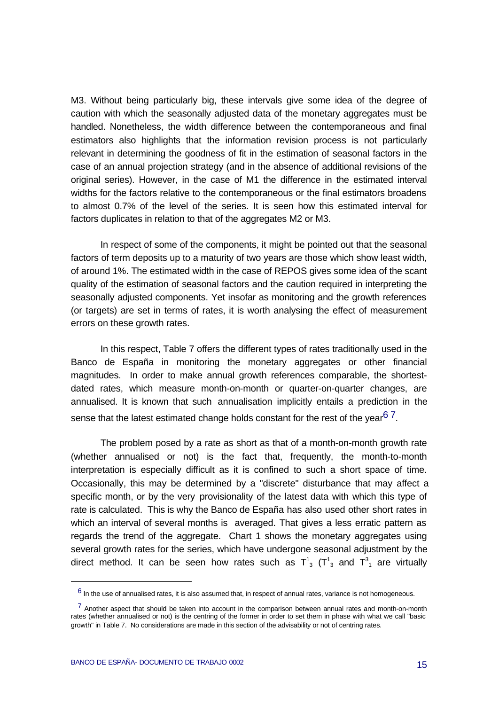M3. Without being particularly big, these intervals give some idea of the degree of caution with which the seasonally adjusted data of the monetary aggregates must be handled. Nonetheless, the width difference between the contemporaneous and final estimators also highlights that the information revision process is not particularly relevant in determining the goodness of fit in the estimation of seasonal factors in the case of an annual projection strategy (and in the absence of additional revisions of the original series). However, in the case of M1 the difference in the estimated interval widths for the factors relative to the contemporaneous or the final estimators broadens to almost 0.7% of the level of the series. It is seen how this estimated interval for factors duplicates in relation to that of the aggregates M2 or M3.

In respect of some of the components, it might be pointed out that the seasonal factors of term deposits up to a maturity of two years are those which show least width, of around 1%. The estimated width in the case of REPOS gives some idea of the scant quality of the estimation of seasonal factors and the caution required in interpreting the seasonally adjusted components. Yet insofar as monitoring and the growth references (or targets) are set in terms of rates, it is worth analysing the effect of measurement errors on these growth rates.

In this respect, Table 7 offers the different types of rates traditionally used in the Banco de España in monitoring the monetary aggregates or other financial magnitudes. In order to make annual growth references comparable, the shortestdated rates, which measure month-on-month or quarter-on-quarter changes, are annualised. It is known that such annualisation implicitly entails a prediction in the sense that the latest estimated change holds constant for the rest of the vear<sup>67</sup>.

The problem posed by a rate as short as that of a month-on-month growth rate (whether annualised or not) is the fact that, frequently, the month-to-month interpretation is especially difficult as it is confined to such a short space of time. Occasionally, this may be determined by a "discrete" disturbance that may affect a specific month, or by the very provisionality of the latest data with which this type of rate is calculated. This is why the Banco de España has also used other short rates in which an interval of several months is averaged. That gives a less erratic pattern as regards the trend of the aggregate. Chart 1 shows the monetary aggregates using several growth rates for the series, which have undergone seasonal adjustment by the direct method. It can be seen how rates such as  $T^1_{3}$  ( $T^1_{3}$  and  $T^3_{1}$  are virtually

j

 $^6$  In the use of annualised rates, it is also assumed that, in respect of annual rates, variance is not homogeneous.

 $<sup>7</sup>$  Another aspect that should be taken into account in the comparison between annual rates and month-on-month</sup> rates (whether annualised or not) is the centring of the former in order to set them in phase with what we call "basic growth" in Table 7. No considerations are made in this section of the advisability or not of centring rates.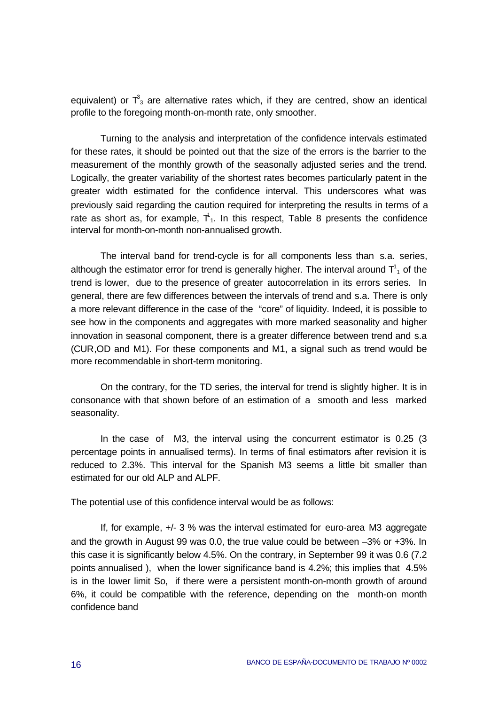equivalent) or  $\mathsf{T}_3^3$  are alternative rates which, if they are centred, show an identical profile to the foregoing month-on-month rate, only smoother.

Turning to the analysis and interpretation of the confidence intervals estimated for these rates, it should be pointed out that the size of the errors is the barrier to the measurement of the monthly growth of the seasonally adjusted series and the trend. Logically, the greater variability of the shortest rates becomes particularly patent in the greater width estimated for the confidence interval. This underscores what was previously said regarding the caution required for interpreting the results in terms of a rate as short as, for example,  $T_1$ . In this respect, Table 8 presents the confidence interval for month-on-month non-annualised growth.

The interval band for trend-cycle is for all components less than s.a. series, although the estimator error for trend is generally higher. The interval around  $\textsf{T}_1^\textsf{1}$  of the trend is lower, due to the presence of greater autocorrelation in its errors series. In general, there are few differences between the intervals of trend and s.a. There is only a more relevant difference in the case of the "core" of liquidity. Indeed, it is possible to see how in the components and aggregates with more marked seasonality and higher innovation in seasonal component, there is a greater difference between trend and s.a (CUR,OD and M1). For these components and M1, a signal such as trend would be more recommendable in short-term monitoring.

On the contrary, for the TD series, the interval for trend is slightly higher. It is in consonance with that shown before of an estimation of a smooth and less marked seasonality.

In the case of M3, the interval using the concurrent estimator is 0.25 (3 percentage points in annualised terms). In terms of final estimators after revision it is reduced to 2.3%. This interval for the Spanish M3 seems a little bit smaller than estimated for our old ALP and ALPF.

The potential use of this confidence interval would be as follows:

If, for example, +/- 3 % was the interval estimated for euro-area M3 aggregate and the growth in August 99 was 0.0, the true value could be between –3% or +3%. In this case it is significantly below 4.5%. On the contrary, in September 99 it was 0.6 (7.2 points annualised ), when the lower significance band is 4.2%; this implies that 4.5% is in the lower limit So, if there were a persistent month-on-month growth of around 6%, it could be compatible with the reference, depending on the month-on month confidence band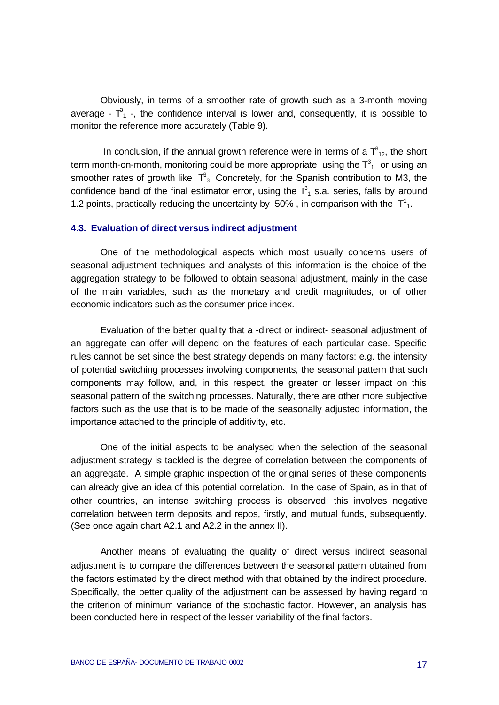Obviously, in terms of a smoother rate of growth such as a 3-month moving average -  $T^3$  -, the confidence interval is lower and, consequently, it is possible to monitor the reference more accurately (Table 9).

In conclusion, if the annual growth reference were in terms of a  $T_{12}^3$ , the short term month-on-month, monitoring could be more appropriate using the  $\textsf{T}_\textsf{1}^\textsf{3}$  or using an smoother rates of growth like  $T^3_{3}$ . Concretely, for the Spanish contribution to M3, the confidence band of the final estimator error, using the  $\mathsf{T}_1^3$  s.a. series, falls by around 1.2 points, practically reducing the uncertainty by 50%, in comparison with the  $T<sup>1</sup><sub>1</sub>$ .

#### **4.3. Evaluation of direct versus indirect adjustment**

One of the methodological aspects which most usually concerns users of seasonal adjustment techniques and analysts of this information is the choice of the aggregation strategy to be followed to obtain seasonal adjustment, mainly in the case of the main variables, such as the monetary and credit magnitudes, or of other economic indicators such as the consumer price index.

Evaluation of the better quality that a -direct or indirect- seasonal adjustment of an aggregate can offer will depend on the features of each particular case. Specific rules cannot be set since the best strategy depends on many factors: e.g. the intensity of potential switching processes involving components, the seasonal pattern that such components may follow, and, in this respect, the greater or lesser impact on this seasonal pattern of the switching processes. Naturally, there are other more subjective factors such as the use that is to be made of the seasonally adjusted information, the importance attached to the principle of additivity, etc.

One of the initial aspects to be analysed when the selection of the seasonal adjustment strategy is tackled is the degree of correlation between the components of an aggregate. A simple graphic inspection of the original series of these components can already give an idea of this potential correlation. In the case of Spain, as in that of other countries, an intense switching process is observed; this involves negative correlation between term deposits and repos, firstly, and mutual funds, subsequently. (See once again chart A2.1 and A2.2 in the annex II).

Another means of evaluating the quality of direct versus indirect seasonal adjustment is to compare the differences between the seasonal pattern obtained from the factors estimated by the direct method with that obtained by the indirect procedure. Specifically, the better quality of the adjustment can be assessed by having regard to the criterion of minimum variance of the stochastic factor. However, an analysis has been conducted here in respect of the lesser variability of the final factors.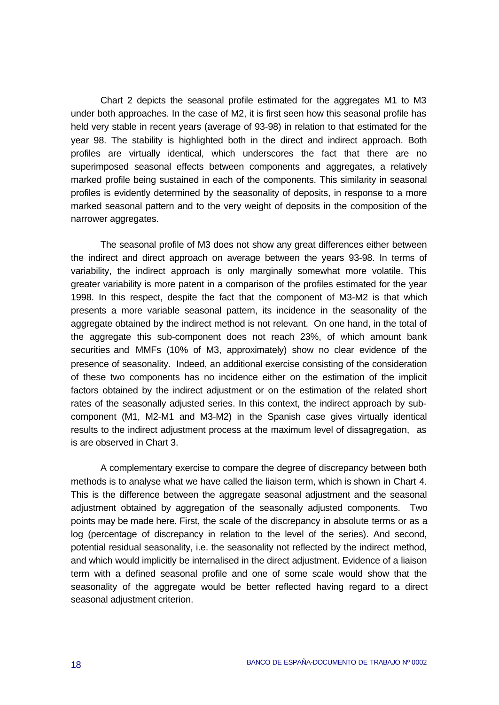Chart 2 depicts the seasonal profile estimated for the aggregates M1 to M3 under both approaches. In the case of M2, it is first seen how this seasonal profile has held very stable in recent years (average of 93-98) in relation to that estimated for the year 98. The stability is highlighted both in the direct and indirect approach. Both profiles are virtually identical, which underscores the fact that there are no superimposed seasonal effects between components and aggregates, a relatively marked profile being sustained in each of the components. This similarity in seasonal profiles is evidently determined by the seasonality of deposits, in response to a more marked seasonal pattern and to the very weight of deposits in the composition of the narrower aggregates.

The seasonal profile of M3 does not show any great differences either between the indirect and direct approach on average between the years 93-98. In terms of variability, the indirect approach is only marginally somewhat more volatile. This greater variability is more patent in a comparison of the profiles estimated for the year 1998. In this respect, despite the fact that the component of M3-M2 is that which presents a more variable seasonal pattern, its incidence in the seasonality of the aggregate obtained by the indirect method is not relevant. On one hand, in the total of the aggregate this sub-component does not reach 23%, of which amount bank securities and MMFs (10% of M3, approximately) show no clear evidence of the presence of seasonality. Indeed, an additional exercise consisting of the consideration of these two components has no incidence either on the estimation of the implicit factors obtained by the indirect adjustment or on the estimation of the related short rates of the seasonally adjusted series. In this context, the indirect approach by subcomponent (M1, M2-M1 and M3-M2) in the Spanish case gives virtually identical results to the indirect adjustment process at the maximum level of dissagregation, as is are observed in Chart 3.

A complementary exercise to compare the degree of discrepancy between both methods is to analyse what we have called the liaison term, which is shown in Chart 4. This is the difference between the aggregate seasonal adjustment and the seasonal adjustment obtained by aggregation of the seasonally adjusted components. Two points may be made here. First, the scale of the discrepancy in absolute terms or as a log (percentage of discrepancy in relation to the level of the series). And second, potential residual seasonality, i.e. the seasonality not reflected by the indirect method, and which would implicitly be internalised in the direct adjustment. Evidence of a liaison term with a defined seasonal profile and one of some scale would show that the seasonality of the aggregate would be better reflected having regard to a direct seasonal adjustment criterion.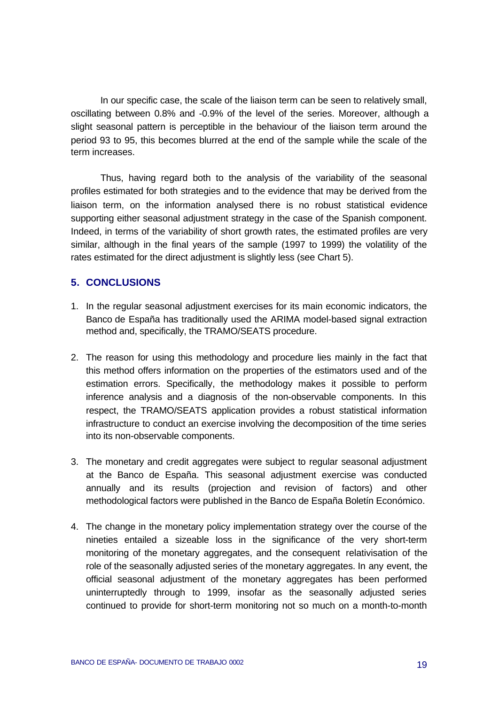In our specific case, the scale of the liaison term can be seen to relatively small, oscillating between 0.8% and -0.9% of the level of the series. Moreover, although a slight seasonal pattern is perceptible in the behaviour of the liaison term around the period 93 to 95, this becomes blurred at the end of the sample while the scale of the term increases.

Thus, having regard both to the analysis of the variability of the seasonal profiles estimated for both strategies and to the evidence that may be derived from the liaison term, on the information analysed there is no robust statistical evidence supporting either seasonal adjustment strategy in the case of the Spanish component. Indeed, in terms of the variability of short growth rates, the estimated profiles are very similar, although in the final years of the sample (1997 to 1999) the volatility of the rates estimated for the direct adjustment is slightly less (see Chart 5).

#### **5. CONCLUSIONS**

- 1. In the regular seasonal adjustment exercises for its main economic indicators, the Banco de España has traditionally used the ARIMA model-based signal extraction method and, specifically, the TRAMO/SEATS procedure.
- 2. The reason for using this methodology and procedure lies mainly in the fact that this method offers information on the properties of the estimators used and of the estimation errors. Specifically, the methodology makes it possible to perform inference analysis and a diagnosis of the non-observable components. In this respect, the TRAMO/SEATS application provides a robust statistical information infrastructure to conduct an exercise involving the decomposition of the time series into its non-observable components.
- 3. The monetary and credit aggregates were subject to regular seasonal adjustment at the Banco de España. This seasonal adjustment exercise was conducted annually and its results (projection and revision of factors) and other methodological factors were published in the Banco de España Boletín Económico.
- 4. The change in the monetary policy implementation strategy over the course of the nineties entailed a sizeable loss in the significance of the very short-term monitoring of the monetary aggregates, and the consequent relativisation of the role of the seasonally adjusted series of the monetary aggregates. In any event, the official seasonal adjustment of the monetary aggregates has been performed uninterruptedly through to 1999, insofar as the seasonally adjusted series continued to provide for short-term monitoring not so much on a month-to-month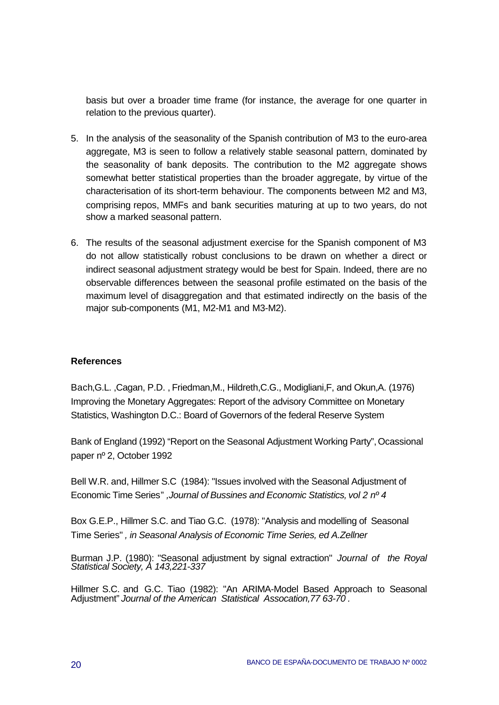basis but over a broader time frame (for instance, the average for one quarter in relation to the previous quarter).

- 5. In the analysis of the seasonality of the Spanish contribution of M3 to the euro-area aggregate, M3 is seen to follow a relatively stable seasonal pattern, dominated by the seasonality of bank deposits. The contribution to the M2 aggregate shows somewhat better statistical properties than the broader aggregate, by virtue of the characterisation of its short-term behaviour. The components between M2 and M3, comprising repos, MMFs and bank securities maturing at up to two years, do not show a marked seasonal pattern.
- 6. The results of the seasonal adjustment exercise for the Spanish component of M3 do not allow statistically robust conclusions to be drawn on whether a direct or indirect seasonal adjustment strategy would be best for Spain. Indeed, there are no observable differences between the seasonal profile estimated on the basis of the maximum level of disaggregation and that estimated indirectly on the basis of the major sub-components (M1, M2-M1 and M3-M2).

#### **References**

Bach,G.L. ,Cagan, P.D. , Friedman,M., Hildreth,C.G., Modigliani,F, and Okun,A. (1976) Improving the Monetary Aggregates: Report of the advisory Committee on Monetary Statistics, Washington D.C.: Board of Governors of the federal Reserve System

Bank of England (1992) "Report on the Seasonal Adjustment Working Party", Ocassional paper nº 2, October 1992

Bell W.R. and, Hillmer S.C (1984): "Issues involved with the Seasonal Adjustment of Economic Time Series" *,Journal of Bussines and Economic Statistics, vol 2 nº 4*

Box G.E.P., Hillmer S.C. and Tiao G.C. (1978): "Analysis and modelling of Seasonal Time Series" *, in Seasonal Analysis of Economic Time Series, ed A.Zellner*

Burman J.P. (1980): "Seasonal adjustment by signal extraction" *Journal of the Royal Statistical Society, A 143,221-337*

Hillmer S.C. and G.C. Tiao (1982): "An ARIMA-Model Based Approach to Seasonal Adjustment" *Journal of the American Statistical Assocation,77 63-70 .*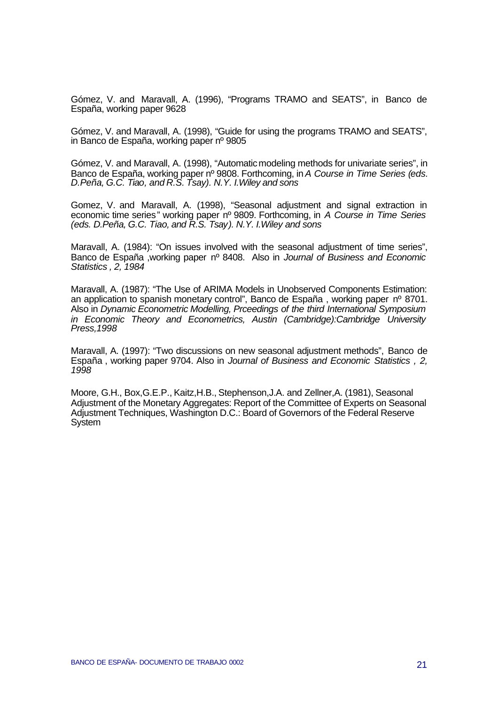Gómez, V. and Maravall, A. (1996), "Programs TRAMO and SEATS", in Banco de España, working paper 9628

Gómez, V. and Maravall, A. (1998), "Guide for using the programs TRAMO and SEATS", in Banco de España, working paper nº 9805

Gómez, V. and Maravall, A. (1998), "Automatic modeling methods for univariate series", in Banco de España, working paper nº 9808. Forthcoming, in *A Course in Time Series (eds. D.Peña, G.C. Tiao, and R.S. Tsay). N.Y. I.Wiley and sons*

Gomez, V. and Maravall, A. (1998), "Seasonal adjustment and signal extraction in economic time series" working paper nº 9809. Forthcoming, in *A Course in Time Series (eds. D.Peña, G.C. Tiao, and R.S. Tsay). N.Y. I.Wiley and sons*

Maravall, A. (1984): "On issues involved with the seasonal adjustment of time series", Banco de España ,working paper nº 8408. Also in *Journal of Business and Economic Statistics , 2, 1984*

Maravall, A. (1987): "The Use of ARIMA Models in Unobserved Components Estimation: an application to spanish monetary control", Banco de España , working paper nº 8701. Also in *Dynamic Econometric Modelling, Prceedings of the third International Symposium in Economic Theory and Econometrics, Austin (Cambridge):Cambridge University Press,1998*

Maravall, A. (1997): "Two discussions on new seasonal adjustment methods", Banco de España , working paper 9704. Also in *Journal of Business and Economic Statistics , 2, 1998*

Moore, G.H., Box,G.E.P., Kaitz,H.B., Stephenson,J.A. and Zellner,A. (1981), Seasonal Adjustment of the Monetary Aggregates: Report of the Committee of Experts on Seasonal Adjustment Techniques, Washington D.C.: Board of Governors of the Federal Reserve **System**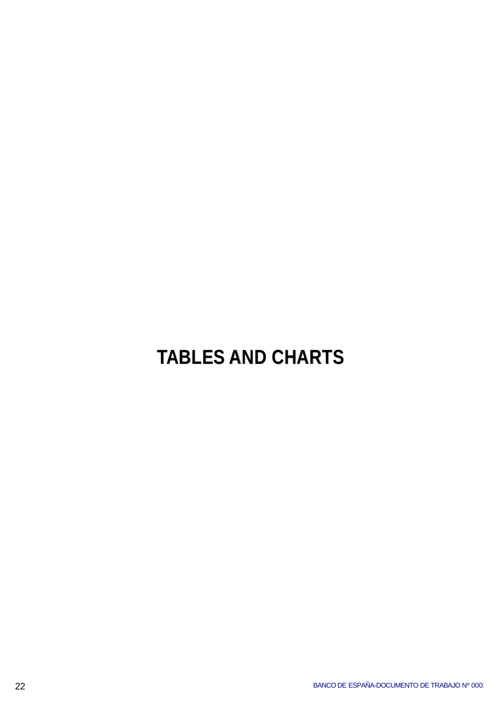# **TABLES AND CHARTS**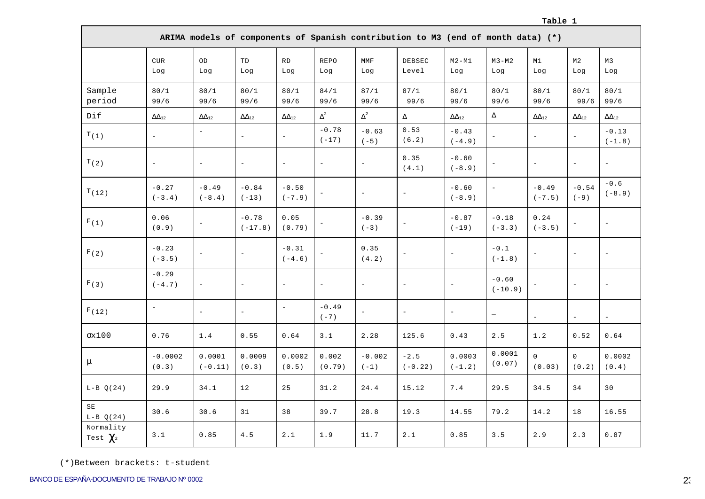#### **Table 1**

|                                       |                               |                          |                          |                          |                          |                                    | ARIMA models of components of Spanish contribution to M3 (end of month data) (*) |                          |                          |                          |                          |                                   |
|---------------------------------------|-------------------------------|--------------------------|--------------------------|--------------------------|--------------------------|------------------------------------|----------------------------------------------------------------------------------|--------------------------|--------------------------|--------------------------|--------------------------|-----------------------------------|
|                                       | $_{\mbox{\small CUR}}$<br>Log | OD<br>Log                | TD<br>Log                | RD<br>Log                | <b>REPO</b><br>Log       | $\texttt{MMF}$<br>Log              | <b>DEBSEC</b><br>Level                                                           | $M2 - M1$<br>Log         | $M3-M2$<br>Log           | M1<br>Log                | M <sub>2</sub><br>Log    | M3<br>Log                         |
| Sample<br>period                      | 80/1<br>99/6                  | 80/1<br>99/6             | 80/1<br>99/6             | 80/1<br>99/6             | 84/1<br>99/6             | 87/1<br>99/6                       | 87/1<br>99/6                                                                     | 80/1<br>99/6             | 80/1<br>99/6             | 80/1<br>99/6             | 80/1<br>99/6             | 80/1<br>99/6                      |
| Dif                                   | $\Delta \Delta_{12}$          | $\Delta \Delta_{12}$     | $\Delta \Delta_{12}$     | $\Delta\Delta_{12}$      | $\Delta^2$               | $\Delta^2$                         | Δ                                                                                | $\Delta\Delta_{12}$      | $\Delta$                 | $\Delta \Delta_{12}$     | $\Delta\Delta_{12}$      | $\Delta\Delta_{12}$               |
| T(1)                                  | $\overline{\phantom{a}}$      | $\equiv$                 | $\overline{a}$           | $\bar{ }$                | $-0.78$<br>$(-17)$       | $-0.63$<br>$\left(\,-\,5\,\right)$ | 0.53<br>(6.2)                                                                    | $-0.43$<br>$(-4.9)$      | $\equiv$                 | $\overline{\phantom{a}}$ | $\overline{\phantom{a}}$ | $-0.13$<br>$(\, -1 \; , \; 8 \;)$ |
| T(2)                                  | $\equiv$                      | $\overline{\phantom{a}}$ | $\equiv$                 | $\equiv$                 | $\overline{\phantom{a}}$ | $\overline{\phantom{a}}$           | 0.35<br>(4.1)                                                                    | $-0.60$<br>$(-8.9)$      |                          | $\overline{\phantom{a}}$ | $\overline{\phantom{a}}$ | $\equiv$                          |
| T(12)                                 | $-0.27$<br>$(-3.4)$           | $-0.49$<br>$(-8.4)$      | $-0.84$<br>$(-13)$       | $-0.50$<br>$(-7.9)$      | $\bar{\phantom{a}}$      | $\bar{\phantom{a}}$                | $\overline{\phantom{a}}$                                                         | $-0.60$<br>$(-8.9)$      | $\equiv$                 | $-0.49$<br>$(-7.5)$      | $-0.54$<br>$(-9)$        | $-0.6$<br>$(-8.9)$                |
| $\texttt{F}\,(\,\mathtt{l}\,)$        | 0.06<br>(0.9)                 |                          | $-0.78$<br>$(-17.8)$     | 0.05<br>(0.79)           |                          | $-0.39$<br>$(-3)$                  |                                                                                  | $-0.87$<br>$(-19)$       | $-0.18$<br>$(-3.3)$      | 0.24<br>$(-3.5)$         | $\overline{\phantom{a}}$ | $\qquad \qquad -$                 |
| F(2)                                  | $-0.23$<br>$(-3.5)$           |                          | $\overline{\phantom{a}}$ | $-0.31$<br>$(-4.6)$      |                          | 0.35<br>(4.2)                      | $\overline{\phantom{0}}$                                                         | $\overline{\phantom{a}}$ | $-0.1$<br>$(-1.8)$       | $\equiv$                 | $\overline{\phantom{a}}$ | $\qquad \qquad -$                 |
| F(3)                                  | $-0.29$<br>$(-4.7)$           | $\overline{\phantom{a}}$ | $\overline{\phantom{a}}$ | $\overline{\phantom{a}}$ | $\overline{\phantom{a}}$ | $\overline{\phantom{a}}$           | $\overline{\phantom{a}}$                                                         |                          | $-0.60$<br>$(-10.9)$     |                          | $\equiv$                 | $\overline{\phantom{a}}$          |
| F(12)                                 | $\equiv$                      | $\overline{\phantom{a}}$ | $\overline{\phantom{a}}$ | $\perp$                  | $-0.49$<br>$(-7)$        | $\qquad \qquad -$                  | $\frac{1}{2}$                                                                    | $\overline{\phantom{a}}$ | $\overline{\phantom{m}}$ | $\overline{\phantom{a}}$ | $\equiv$                 | $\overline{\phantom{a}}$          |
| $\sigma x100$                         | 0.76                          | 1.4                      | 0.55                     | 0.64                     | 3.1                      | 2.28                               | 125.6                                                                            | $0.43\,$                 | $2.5\,$                  | 1.2                      | 0.52                     | 0.64                              |
| $\mu$                                 | $-0.0002$<br>(0.3)            | 0.0001<br>$(-0.11)$      | 0.0009<br>(0.3)          | 0.0002<br>(0.5)          | 0.002<br>(0.79)          | $-0.002$<br>$(-1)$                 | $-2.5$<br>$(-0.22)$                                                              | 0.0003<br>$(-1.2)$       | 0.0001<br>(0.07)         | $\Omega$<br>(0.03)       | $\Omega$<br>(0.2)        | 0.0002<br>(0.4)                   |
| $L-B Q(24)$                           | 29.9                          | 34.1                     | 12                       | 25                       | 31.2                     | 24.4                               | 15.12                                                                            | 7.4                      | 29.5                     | 34.5                     | 34                       | 30                                |
| SE<br>$L-B Q(24)$                     | 30.6                          | 30.6                     | 31                       | 38                       | 39.7                     | 28.8                               | 19.3                                                                             | 14.55                    | 79.2                     | 14.2                     | 18                       | 16.55                             |
| Normality<br>Test $\chi$ <sup>2</sup> | 3.1                           | 0.85                     | $4\,.5$                  | $2\,\ldotp1$             | 1.9                      | 11.7                               | $2\,.\,1$                                                                        | 0.85                     | $3.5$                    | 2.9                      | 2.3                      | 0.87                              |

(\*)Between brackets: t-student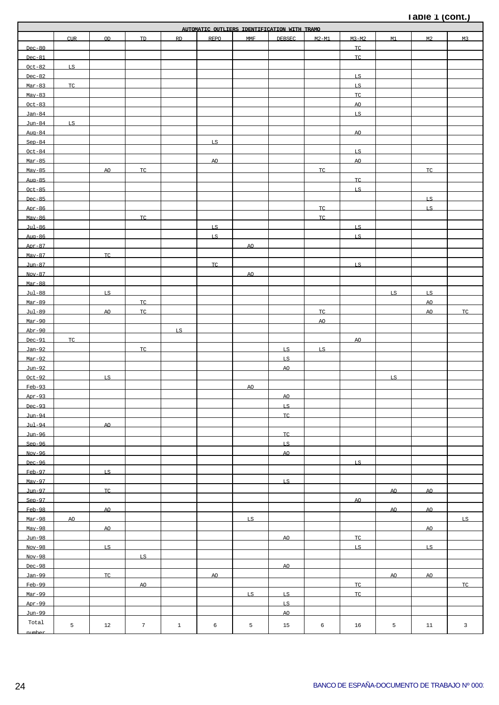#### **Table 1 (cont.)**

| AUTOMATIC OUTLIERS IDENTIFICATION WITH TRAMO |            |     |                 |              |      |            |               |         |           |     |                |                         |
|----------------------------------------------|------------|-----|-----------------|--------------|------|------------|---------------|---------|-----------|-----|----------------|-------------------------|
|                                              | <b>CUR</b> | OD. | TD.             | <b>RD</b>    | REPO | <b>MMF</b> | <b>DEBSEC</b> | $M2-M1$ | $M3-M2$   | M1  | M <sub>2</sub> | M <sub>3</sub>          |
| $Dec-80$                                     |            |     |                 |              |      |            |               |         | <b>TC</b> |     |                |                         |
|                                              |            |     |                 |              |      |            |               |         | TC        |     |                |                         |
| $Dec-81$                                     |            |     |                 |              |      |            |               |         |           |     |                |                         |
| $Oct-82$                                     | LS         |     |                 |              |      |            |               |         |           |     |                |                         |
| $Dec-82$                                     |            |     |                 |              |      |            |               |         | LS        |     |                |                         |
| $Mar-83$                                     | <b>TC</b>  |     |                 |              |      |            |               |         | LS        |     |                |                         |
| $May-83$                                     |            |     |                 |              |      |            |               |         | TC        |     |                |                         |
| $Oct-83$                                     |            |     |                 |              |      |            |               |         | AO        |     |                |                         |
| $Jan-84$                                     |            |     |                 |              |      |            |               |         | LS        |     |                |                         |
| $Jun-84$                                     | LS         |     |                 |              |      |            |               |         |           |     |                |                         |
| $Auq-84$                                     |            |     |                 |              |      |            |               |         | AO        |     |                |                         |
| $Sen-84$                                     |            |     |                 |              | LS   |            |               |         |           |     |                |                         |
| $Oct-84$                                     |            |     |                 |              |      |            |               |         | LS        |     |                |                         |
| $Mar-85$                                     |            |     |                 |              | AO   |            |               |         | AO        |     |                |                         |
| $Mav-85$                                     |            |     | TC              |              |      |            |               | TC      |           |     | TC.            |                         |
|                                              |            | AO  |                 |              |      |            |               |         |           |     |                |                         |
| $Au\alpha - 85$                              |            |     |                 |              |      |            |               |         | TC.       |     |                |                         |
| $Oct-85$                                     |            |     |                 |              |      |            |               |         | LS.       |     |                |                         |
| $Dec-85$                                     |            |     |                 |              |      |            |               |         |           |     | LS.            |                         |
| $Apr-86$                                     |            |     |                 |              |      |            |               | TC.     |           |     | LS.            |                         |
| $Mav-86$                                     |            |     | TC.             |              |      |            |               | TC.     |           |     |                |                         |
| $Jul - 86$                                   |            |     |                 |              | LS.  |            |               |         | LS.       |     |                |                         |
| $Au = 86$                                    |            |     |                 |              | LS.  |            |               |         | LS.       |     |                |                         |
| $Apr-87$                                     |            |     |                 |              |      | AO.        |               |         |           |     |                |                         |
| $Mav-87$                                     |            | TC. |                 |              |      |            |               |         |           |     |                |                         |
| $Jun-87$                                     |            |     |                 |              | TC.  |            |               |         | LS.       |     |                |                         |
| $Nov-87$                                     |            |     |                 |              |      | AO         |               |         |           |     |                |                         |
| Mar-88                                       |            |     |                 |              |      |            |               |         |           |     |                |                         |
|                                              |            |     |                 |              |      |            |               |         |           |     |                |                         |
| $Jul - 88$                                   |            | LS. |                 |              |      |            |               |         |           | LS. | LS.            |                         |
| $Mar-89$                                     |            |     | TC.             |              |      |            |               |         |           |     | AO.            |                         |
| $Jul - 89$                                   |            | AO  | TC.             |              |      |            |               | TC.     |           |     | AO.            | TC.                     |
| $Mar-90$                                     |            |     |                 |              |      |            |               | AO.     |           |     |                |                         |
| $Abr-90$                                     |            |     |                 | LS.          |      |            |               |         |           |     |                |                         |
| $Dec-91$                                     | TC.        |     |                 |              |      |            |               |         | AO.       |     |                |                         |
| Jan-92                                       |            |     | TC.             |              |      |            | LS.           | LS.     |           |     |                |                         |
| $Mar-92$                                     |            |     |                 |              |      |            | LS.           |         |           |     |                |                         |
| $Jun-92$                                     |            |     |                 |              |      |            | AO.           |         |           |     |                |                         |
| $Oct-92$                                     |            | LS. |                 |              |      |            |               |         |           | LS. |                |                         |
| $Feb-93$                                     |            |     |                 |              |      | AO.        |               |         |           |     |                |                         |
| $Apr-93$                                     |            |     |                 |              |      |            | AO.           |         |           |     |                |                         |
| $Dec-93$                                     |            |     |                 |              |      |            |               |         |           |     |                |                         |
|                                              |            |     |                 |              |      |            | LS.           |         |           |     |                |                         |
| $J$ un-94                                    |            |     |                 |              |      |            | TC.           |         |           |     |                |                         |
| $Jul-94$                                     |            | AO. |                 |              |      |            |               |         |           |     |                |                         |
| $J$ un-96                                    |            |     |                 |              |      |            | TC.           |         |           |     |                |                         |
| $Sep-96$                                     |            |     |                 |              |      |            | LS.           |         |           |     |                |                         |
| $Nov-96$                                     |            |     |                 |              |      |            | AO.           |         |           |     |                |                         |
| $Dec-96$                                     |            |     |                 |              |      |            |               |         | LS.       |     |                |                         |
| $Feb-97$                                     |            | LS. |                 |              |      |            |               |         |           |     |                |                         |
| $Mav-97$                                     |            |     |                 |              |      |            | LS.           |         |           |     |                |                         |
| Jun-97                                       |            | TC. |                 |              |      |            |               |         |           | AO. | AO.            |                         |
| $Sen-97$                                     |            |     |                 |              |      |            |               |         | AO.       |     |                |                         |
| $Feb-98$                                     |            | AO. |                 |              |      |            |               |         |           | AO. | AO.            |                         |
| $Mar-98$                                     | AO.        |     |                 |              |      | LS.        |               |         |           |     |                | LS.                     |
|                                              |            |     |                 |              |      |            |               |         |           |     |                |                         |
| $Mav-98$                                     |            | AO. |                 |              |      |            |               |         |           |     | AO.            |                         |
| $J$ un-98                                    |            |     |                 |              |      |            | AO.           |         | TC.       |     |                |                         |
| $Nov-98$                                     |            | LS. |                 |              |      |            |               |         | LS.       |     | LS.            |                         |
| $Nov-98$                                     |            |     | LS.             |              |      |            |               |         |           |     |                |                         |
| $Dec-98$                                     |            |     |                 |              |      |            | AO.           |         |           |     |                |                         |
| Jan-99                                       |            | TC. |                 |              | AO.  |            |               |         |           | AO. | AO.            |                         |
| $Feb-99$                                     |            |     | AO.             |              |      |            |               |         | TC.       |     |                | TC.                     |
| $Mar-99$                                     |            |     |                 |              |      | LS.        | LS.           |         | TC.       |     |                |                         |
| $Apr-99$                                     |            |     |                 |              |      |            | LS.           |         |           |     |                |                         |
| $Jun-99$                                     |            |     |                 |              |      |            | AO.           |         |           |     |                |                         |
| Total                                        |            |     |                 |              |      |            |               |         |           |     |                |                         |
|                                              | 5          | 12  | $7\phantom{.0}$ | $\mathbf{1}$ | 6    | 5          | 15            | 6       | 16        | 5   | 11             | $\overline{\mathbf{3}}$ |
|                                              |            |     |                 |              |      |            |               |         |           |     |                |                         |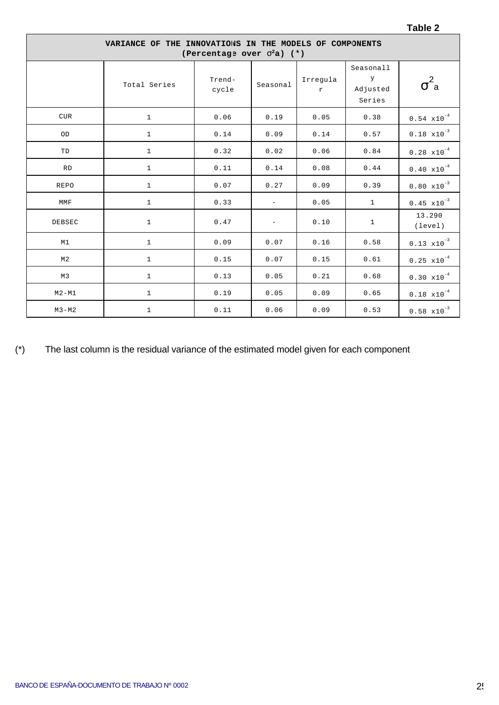| VARIANCE OF THE INNOVATIONS IN THE MODELS OF COMPONENTS<br>(Percentage over $s^2a$ ) (*) |              |                 |                          |                          |                                      |                                          |  |  |  |  |
|------------------------------------------------------------------------------------------|--------------|-----------------|--------------------------|--------------------------|--------------------------------------|------------------------------------------|--|--|--|--|
|                                                                                          | Total Series | Trend-<br>cycle | Seasonal                 | Irregula<br>$\mathtt{r}$ | Seasonall<br>Y<br>Adjusted<br>Series | $\overline{\phantom{a}}^2$<br>$\sigma$ a |  |  |  |  |
| <b>CUR</b>                                                                               | $\mathbf{1}$ | 0.06            | 0.19                     | 0.05                     | 0.38                                 | $0.54 \times 10^{-4}$                    |  |  |  |  |
| OD                                                                                       | $\mathbf{1}$ | 0.14            | 0.09                     | 0.14                     | 0.57                                 | $0.18 \times 10^{-3}$                    |  |  |  |  |
| TD                                                                                       | $\mathbf{1}$ | 0.32            | 0.02                     | 0.06                     | 0.84                                 | $0.28 \times 10^{-4}$                    |  |  |  |  |
| <b>RD</b>                                                                                | $\mathbf{1}$ | 0.11            | 0.14                     | 0.08                     | 0.44                                 | $0.40 \times 10^{-4}$                    |  |  |  |  |
| <b>REPO</b>                                                                              | $\mathbf{1}$ | 0.07            | 0.27                     | 0.09                     | 0.39                                 | $0.80 \times 10^{-3}$                    |  |  |  |  |
| MMF                                                                                      | $\mathbf{1}$ | 0.33            | $\equiv$                 | 0.05                     | $\mathbf{1}$                         | $0.45 \times 10^{-3}$                    |  |  |  |  |
| <b>DEBSEC</b>                                                                            | $\mathbf{1}$ | 0.47            | $\overline{\phantom{a}}$ | 0.10                     | $\mathbf{1}$                         | 13.290<br>(level)                        |  |  |  |  |
| M1                                                                                       | $\mathbf{1}$ | 0.09            | 0.07                     | 0.16                     | 0.58                                 | $0.13 \times 10^{-3}$                    |  |  |  |  |
| M <sub>2</sub>                                                                           | $\mathbf{1}$ | 0.15            | 0.07                     | 0.15                     | 0.61                                 | $0.25 \times 10^{-4}$                    |  |  |  |  |
| M3                                                                                       | $\mathbf{1}$ | 0.13            | 0.05                     | 0.21                     | 0.68                                 | $0.30 \times 10^{-4}$                    |  |  |  |  |
| $M2 - M1$                                                                                | $\mathbf{1}$ | 0.19            | 0.05                     | 0.09                     | 0.65                                 | $0.18 \times 10^{-4}$                    |  |  |  |  |
| $M3-M2$                                                                                  | $\mathbf{1}$ | 0.11            | 0.06                     | 0.09                     | 0.53                                 | $0.58 \times 10^{-3}$                    |  |  |  |  |

(\*) The last column is the residual variance of the estimated model given for each component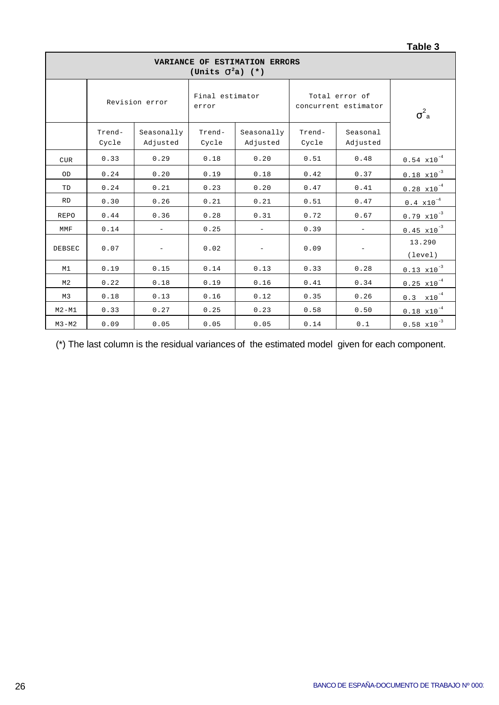|                                                      |                 |                          |                          |                          |                 |                                        | <b>Lanic</b> 2          |  |  |  |
|------------------------------------------------------|-----------------|--------------------------|--------------------------|--------------------------|-----------------|----------------------------------------|-------------------------|--|--|--|
| VARIANCE OF ESTIMATION ERRCRS<br>(Units $S^2a$ ) (*) |                 |                          |                          |                          |                 |                                        |                         |  |  |  |
|                                                      |                 | Revision error           | Final estimator<br>error |                          |                 | Total error of<br>concurrent estimator | $\sigma^2$ <sub>a</sub> |  |  |  |
|                                                      | Trend-<br>Cycle | Seasonally<br>Adjusted   | Trend-<br>Cycle          | Seasonally<br>Adjusted   | Trend-<br>Cycle | Seasonal<br>Adjusted                   |                         |  |  |  |
| <b>CUR</b>                                           | 0.33            | 0.29                     | 0.18                     | 0.20                     | 0.51            | 0.48                                   | $0.54 \times 10^{-4}$   |  |  |  |
| OD                                                   | 0.24            | 0.20                     | 0.19                     | 0.18                     | 0.42            | 0.37                                   | $0.18 \times 10^{-3}$   |  |  |  |
| TD                                                   | 0.24            | 0.21                     | 0.23                     | 0.20                     | 0.47            | 0.41                                   | $0.28 \times 10^{-4}$   |  |  |  |
| <b>RD</b>                                            | 0.30            | 0.26                     | 0.21                     | 0.21                     | 0.51            | 0.47                                   | $0.4 \times 10^{-4}$    |  |  |  |
| <b>REPO</b>                                          | 0.44            | 0.36                     | 0.28                     | 0.31                     | 0.72            | 0.67                                   | $0.79 \times 10^{-3}$   |  |  |  |
| MMF                                                  | 0.14            | $\equiv$                 | 0.25                     | $\overline{\phantom{a}}$ | 0.39            | $\overline{\phantom{a}}$               | $0.45 \times 10^{-3}$   |  |  |  |
| DEBSEC                                               | 0.07            | $\overline{\phantom{a}}$ | 0.02                     |                          | 0.09            |                                        | 13.290<br>(level)       |  |  |  |
| M1                                                   | 0.19            | 0.15                     | 0.14                     | 0.13                     | 0.33            | 0.28                                   | $0.13 \times 10^{-3}$   |  |  |  |
| M <sub>2</sub>                                       | 0.22            | 0.18                     | 0.19                     | 0.16                     | 0.41            | 0.34                                   | $0.25 \times 10^{-4}$   |  |  |  |
| M3                                                   | 0.18            | 0.13                     | 0.16                     | 0.12                     | 0.35            | 0.26                                   | $0.3 \times 10^{-4}$    |  |  |  |
| $M2 - M1$                                            | 0.33            | 0.27                     | 0.25                     | 0.23                     | 0.58            | 0.50                                   | $0.18 \times 10^{-4}$   |  |  |  |
| $M3-M2$                                              | 0.09            | 0.05                     | 0.05                     | 0.05                     | 0.14            | 0.1                                    | $0.58 \times 10^{-3}$   |  |  |  |

(\*) The last column is the residual variances of the estimated model given for each component.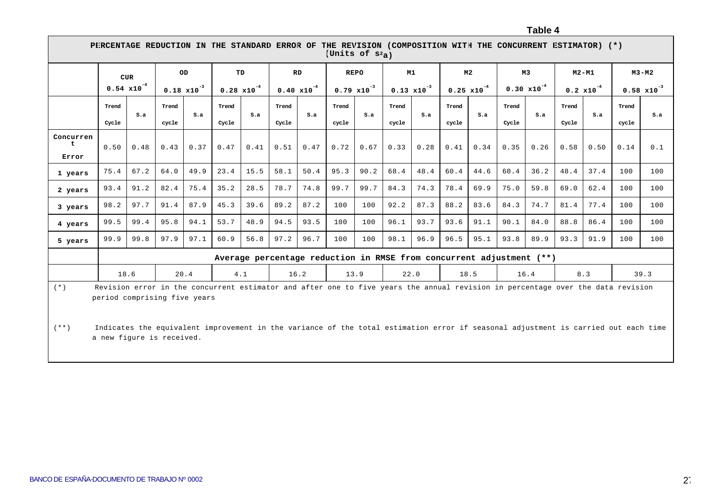**Table 4**

|                    | PHRCENTAGE REDUCTION IN THE STANDARI ERROR OF THE REVISION (COMPOSITION WITH THE CONCUHRENT ESTIMATOR) (*)<br>(Units of $S^2$ <sub>a</sub> )                    |                       |       |                       |                       |      |                       |      |                       |      |                       |      |                       |      |                       |                                                                      |                      |         |       |                       |
|--------------------|-----------------------------------------------------------------------------------------------------------------------------------------------------------------|-----------------------|-------|-----------------------|-----------------------|------|-----------------------|------|-----------------------|------|-----------------------|------|-----------------------|------|-----------------------|----------------------------------------------------------------------|----------------------|---------|-------|-----------------------|
|                    |                                                                                                                                                                 | <b>CUR</b>            | OD    |                       | TD                    |      | <b>RD</b>             |      | <b>REPO</b>           |      | M1                    |      | M <sub>2</sub>        |      | M3                    |                                                                      |                      | $M2-M1$ |       | $M3-M2$               |
|                    |                                                                                                                                                                 | $0.54 \times 10^{-4}$ |       | $0.18 \times 10^{-3}$ | $0.28 \times 10^{-4}$ |      | $0.40 \times 10^{-4}$ |      | $0.79 \times 10^{-3}$ |      | $0.13 \times 10^{-3}$ |      | $0.25 \times 10^{-4}$ |      | $0.30 \times 10^{-4}$ |                                                                      | $0.2 \times 10^{-4}$ |         |       | $0.58 \times 10^{-3}$ |
|                    | Trend                                                                                                                                                           |                       | Trend |                       | Trend                 |      | Trend                 |      | Trend                 |      | Trend                 |      | Trend                 |      | Trend                 |                                                                      | Trend                |         | Trend |                       |
|                    | Cycle                                                                                                                                                           | S.a                   | cycle | S.a                   | Cycle                 | S.a  | Cycle                 | S.a  | cycle                 | S.a  | cycle                 | S.a  | cycle                 | S.a  | Cycle                 | S.a                                                                  | Cycle                | S.a     | cycle | S.a                   |
| Concurren<br>Error | 0.50                                                                                                                                                            | 0.48                  | 0.43  | 0.37                  | 0.47                  | 0.41 | 0.51                  | 0.47 | 0.72                  | 0.67 | 0.33                  | 0.28 | 0.41                  | 0.34 | 0.35                  | 0.26                                                                 | 0.58                 | 0.50    | 0.14  | 0.1                   |
| 1 years            | 75.4                                                                                                                                                            | 67.2                  | 64.0  | 49.9                  | 23.4                  | 15.5 | 58.1                  | 50.4 | 95.3                  | 90.2 | 68.4                  | 48.4 | 60.4                  | 44.6 | 60.4                  | 36.2                                                                 | 48.4                 | 37.4    | 100   | 100                   |
| 2 years            | 93.4                                                                                                                                                            | 91.2                  | 82.4  | 75.4                  | 35.2                  | 28.5 | 78.7                  | 74.8 | 99.7                  | 99.7 | 84.3                  | 74.3 | 78.4                  | 69.9 | 75.0                  | 59.8                                                                 | 69.0                 | 62.4    | 100   | 100                   |
| 3 years            | 98.2                                                                                                                                                            | 97.7                  | 91.4  | 87.9                  | 45.3                  | 39.6 | 89.2                  | 87.2 | 100                   | 100  | 92.2                  | 87.3 | 88.2                  | 83.6 | 84.3                  | 74.7                                                                 | 81.4                 | 77.4    | 100   | 100                   |
| 4 years            | 99.5                                                                                                                                                            | 99.4                  | 95.8  | 94.1                  | 53.7                  | 48.9 | 94.5                  | 93.5 | 100                   | 100  | 96.1                  | 93.7 | 93.6                  | 91.1 | 90.1                  | 84.0                                                                 | 88.8                 | 86.4    | 100   | 100                   |
| 5 years            | 99.9                                                                                                                                                            | 99.8                  | 97.9  | 97.1                  | 60.9                  | 56.8 | 97.2                  | 96.7 | 100                   | 100  | 98.1                  | 96.9 | 96.5                  | 95.1 | 93.8                  | 89.9                                                                 | 93.3                 | 91.9    | 100   | 100                   |
|                    |                                                                                                                                                                 |                       |       |                       |                       |      |                       |      |                       |      |                       |      |                       |      |                       | Average percentage reduction in RMSE from concurrent adjustment (**) |                      |         |       |                       |
|                    | 18.6                                                                                                                                                            |                       | 20.4  |                       | 4.1                   |      |                       | 16.2 | 13.9                  |      | 22.0                  |      | 18.5                  |      |                       | 16.4                                                                 |                      | 8.3     |       | 39.3                  |
| $(* )$             | Revision error in the concurrent estimator and after one to five years the annual revision in percentage over the data revision<br>period comprising five years |                       |       |                       |                       |      |                       |      |                       |      |                       |      |                       |      |                       |                                                                      |                      |         |       |                       |
| $(* * )$           | Indicates the equivalent improvement in the variance of the total estimation error if seasonal adjustment is carried out each time<br>a new figure is received. |                       |       |                       |                       |      |                       |      |                       |      |                       |      |                       |      |                       |                                                                      |                      |         |       |                       |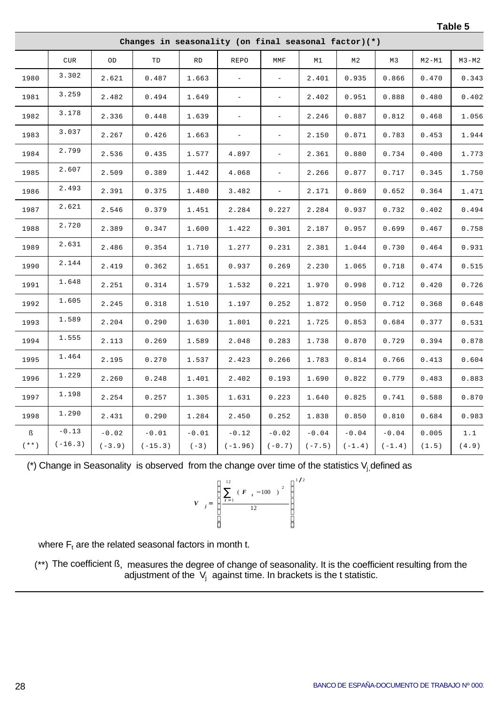| L<br>. . |  |
|----------|--|
|----------|--|

|                          | Changes in seasonality (on final seasonal factor)(*) |                           |                                |                   |                          |                          |                     |                     |                     |                |              |
|--------------------------|------------------------------------------------------|---------------------------|--------------------------------|-------------------|--------------------------|--------------------------|---------------------|---------------------|---------------------|----------------|--------------|
|                          | CUR                                                  | $_{\rm OD}$               | TD                             | <b>RD</b>         | REPO                     | MMF                      | M1                  | M2                  | M3                  | $M2 - M1$      | $M3-M2$      |
| 1980                     | 3.302                                                | 2.621                     | $0\,.\,4\,8\,7$                | 1.663             | $\overline{\phantom{0}}$ | $\overline{\phantom{0}}$ | 2.401               | 0.935               | 0.866               | 0.470          | 0.343        |
| 1981                     | 3.259                                                | 2.482                     | 0.494                          | 1.649             | $\equiv$                 | $\overline{\phantom{a}}$ | 2.402               | 0.951               | 0.888               | 0.480          | 0.402        |
| 1982                     | 3.178                                                | 2.336                     | 0.448                          | 1.639             | $\equiv$                 | $\overline{\phantom{0}}$ | 2.246               | 0.887               | 0.812               | 0.468          | 1.056        |
| 1983                     | 3.037                                                | 2.267                     | 0.426                          | 1.663             | $\equiv$                 | $\overline{\phantom{a}}$ | 2.150               | 0.871               | 0.783               | 0.453          | 1.944        |
| 1984                     | 2.799                                                | 2.536                     | 0.435                          | 1.577             | 4.897                    | $\overline{\phantom{0}}$ | 2.361               | 0.880               | 0.734               | 0.400          | 1.773        |
| 1985                     | 2.607                                                | 2.509                     | 0.389                          | 1.442             | 4.068                    | $\equiv$                 | 2.266               | 0.877               | 0.717               | 0.345          | 1.750        |
| 1986                     | 2.493                                                | 2.391                     | 0.375                          | 1.480             | 3.482                    | $\overline{\phantom{0}}$ | 2.171               | 0.869               | 0.652               | 0.364          | 1.471        |
| 1987                     | 2.621                                                | 2.546                     | 0.379                          | 1.451             | 2.284                    | 0.227                    | 2.284               | 0.937               | 0.732               | 0.402          | 0.494        |
| 1988                     | 2.720                                                | 2.389                     | 0.347                          | 1.600             | 1.422                    | 0.301                    | 2.187               | 0.957               | 0.699               | 0.467          | 0.758        |
| 1989                     | 2.631                                                | 2.486                     | 0.354                          | 1.710             | 1.277                    | 0.231                    | 2.381               | 1.044               | 0.730               | 0.464          | 0.931        |
| 1990                     | 2.144                                                | 2.419                     | 0.362                          | 1.651             | 0.937                    | 0.269                    | 2.230               | 1.065               | 0.718               | 0.474          | 0.515        |
| 1991                     | 1.648                                                | 2.251                     | 0.314                          | 1.579             | 1.532                    | 0.221                    | 1.970               | 0.998               | 0.712               | 0.420          | 0.726        |
| 1992                     | 1.605                                                | 2.245                     | 0.318                          | 1.510             | 1.197                    | 0.252                    | 1.872               | 0.950               | 0.712               | 0.368          | 0.648        |
| 1993                     | 1.589                                                | 2.204                     | 0.290                          | 1.630             | 1.801                    | 0.221                    | 1.725               | 0.853               | 0.684               | 0.377          | 0.531        |
| 1994                     | 1.555                                                | 2.113                     | 0.269                          | 1.589             | 2.048                    | 0.283                    | 1.738               | 0.870               | 0.729               | 0.394          | 0.878        |
| 1995                     | 1.464                                                | 2.195                     | 0.270                          | 1.537             | 2.423                    | 0.266                    | 1.783               | 0.814               | 0.766               | 0.413          | 0.604        |
| 1996                     | 1.229                                                | 2.260                     | 0.248                          | 1.401             | 2.402                    | 0.193                    | 1.690               | 0.822               | 0.779               | 0.483          | 0.883        |
| 1997                     | 1.198                                                | 2.254                     | 0.257                          | 1.305             | 1.631                    | 0.223                    | 1.640               | 0.825               | 0.741               | 0.588          | 0.870        |
| 1998                     | 1.290                                                | 2.431                     | 0.290                          | 1.284             | 2.450                    | 0.252                    | 1.838               | 0.850               | 0.810               | 0.684          | 0.983        |
| ß<br>( $\star$ $\star$ ) | $-0.13$<br>$(-16.3)$                                 | $\sim0$ . 0 2<br>$(-3.9)$ | $\sim 0$ . $0\,1$<br>$(-15.3)$ | $-0.01$<br>$(-3)$ | $-0.12$<br>$(-1.96)$     | $-0.02$<br>$(-0.7)$      | $-0.04$<br>$(-7.5)$ | $-0.04$<br>$(-1.4)$ | $-0.04$<br>$(-1.4)$ | 0.005<br>(1.5) | 1.1<br>(4.9) |

(\*) Change in Seasonality is observed from the change over time of the statistics  $V_j$ , defined as

$$
V_{j} = \left[\begin{array}{c} 12\\ \sum_{t=1}^{12} (F_{t} - 100)^{2} \\ 12 \end{array}\right]^{1/2}
$$

where  $F_t$  are the related seasonal factors in month t.

(\*\*) The coefficient ß, measures the degree of change of seasonality. It is the coefficient resulting from the adjustment of the  $\ V_{j}$  against time. In brackets is the t statistic.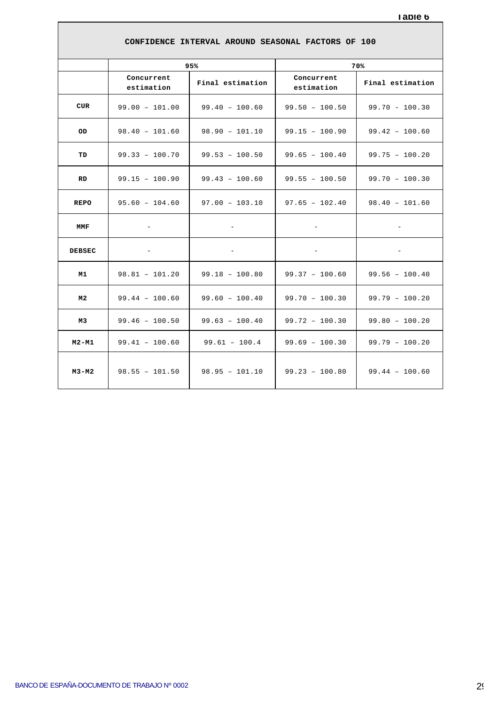| CONFIDENCE INTERVAL AROUND SEASONAL FACTORS OF 100 |                          |                          |                          |                          |  |  |  |  |  |
|----------------------------------------------------|--------------------------|--------------------------|--------------------------|--------------------------|--|--|--|--|--|
|                                                    |                          | 95%                      |                          | 70%                      |  |  |  |  |  |
|                                                    | Concurrent<br>estimation | Final estimation         | Concurrent<br>estimation | Final estimation         |  |  |  |  |  |
| <b>CUR</b>                                         | $99.00 - 101.00$         | $99.40 - 100.60$         | $99.50 - 100.50$         | $99.70 - 100.30$         |  |  |  |  |  |
| OD.                                                | $98.40 - 101.60$         | $98.90 - 101.10$         | $99.15 - 100.90$         | $99.42 - 100.60$         |  |  |  |  |  |
| TD                                                 | $99.33 - 100.70$         | $99.53 - 100.50$         | $99.65 - 100.40$         | $99.75 - 100.20$         |  |  |  |  |  |
| <b>RD</b>                                          | $99.15 - 100.90$         | $99.43 - 100.60$         | $99.55 - 100.50$         | $99.70 - 100.30$         |  |  |  |  |  |
| <b>REPO</b>                                        | $95.60 - 104.60$         | $97.00 - 103.10$         | $97.65 - 102.40$         | $98.40 - 101.60$         |  |  |  |  |  |
| <b>MMF</b>                                         | $\overline{\phantom{a}}$ | $\overline{\phantom{a}}$ | $\overline{\phantom{a}}$ | $\overline{\phantom{a}}$ |  |  |  |  |  |
| <b>DEBSEC</b>                                      | $\overline{\phantom{0}}$ | $\overline{\phantom{0}}$ | $\overline{\phantom{a}}$ | -                        |  |  |  |  |  |
| M1                                                 | $98.81 - 101.20$         | $99.18 - 100.80$         | $99.37 - 100.60$         | $99.56 - 100.40$         |  |  |  |  |  |
| M2                                                 | $99.44 - 100.60$         | $99.60 - 100.40$         | $99.70 - 100.30$         | $99.79 - 100.20$         |  |  |  |  |  |
| M3                                                 | $99.46 - 100.50$         | $99.63 - 100.40$         | $99.72 - 100.30$         | $99.80 - 100.20$         |  |  |  |  |  |
| $M2 - M1$                                          | $99.41 - 100.60$         | $99.61 - 100.4$          | $99.69 - 100.30$         | $99.79 - 100.20$         |  |  |  |  |  |
| M3-M2                                              | $98.55 - 101.50$         | $98.95 - 101.10$         | $99.23 - 100.80$         | $99.44 - 100.60$         |  |  |  |  |  |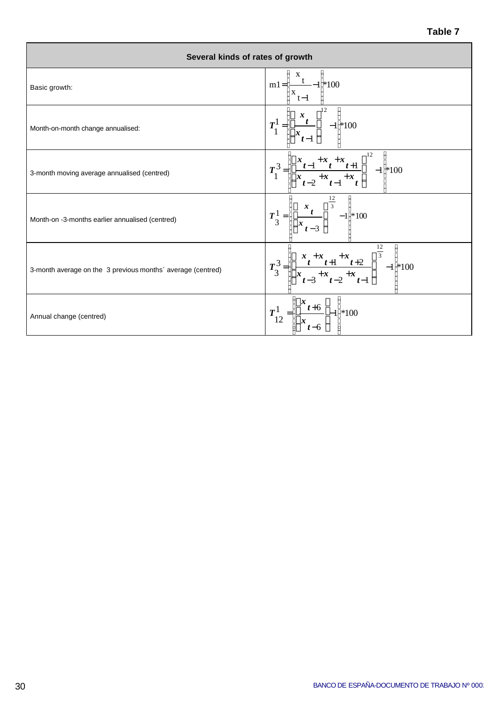| Several kinds of rates of growth                            |                                                                                                                                |
|-------------------------------------------------------------|--------------------------------------------------------------------------------------------------------------------------------|
| Basic growth:                                               | $\ln \frac{m!}{\frac{x_{t-1}}{x_{t-1}}}$ +100                                                                                  |
| Month-on-month change annualised:                           | $T_1^1 = \left[ \left( \frac{x_t}{x_{t-1}} \right)^{12} - 1 \right] \neq 100$                                                  |
| 3-month moving average annualised (centred)                 | $T_1^3 = \left\  \frac{x_{t-1} + x_t + x_{t+1}}{x_{t-2} + x_{t-1} + x_t} \right\ ^2 - 1 \approx 100$                           |
| Month-on -3-months earlier annualised (centred)             | $T_{3}^{1} = \left  \left  \frac{x_{t}}{x_{t-2}} \right ^{-\frac{12}{3}} - 1 \right  * 100$                                    |
| 3-month average on the 3 previous months' average (centred) | $T_3^3 = \left\  \left[ \frac{x_1 + x_1 + x_1 + x_1}{x_{t-3} + x_{t-2} + x_{t-1}} \right]^{\frac{12}{3}} - 1 \right\}^{*} 100$ |
| Annual change (centred)                                     | $T_{12}^{1} = \left  \frac{x_{t+6}}{x_{t+6}} \right  - 1 \approx 100$                                                          |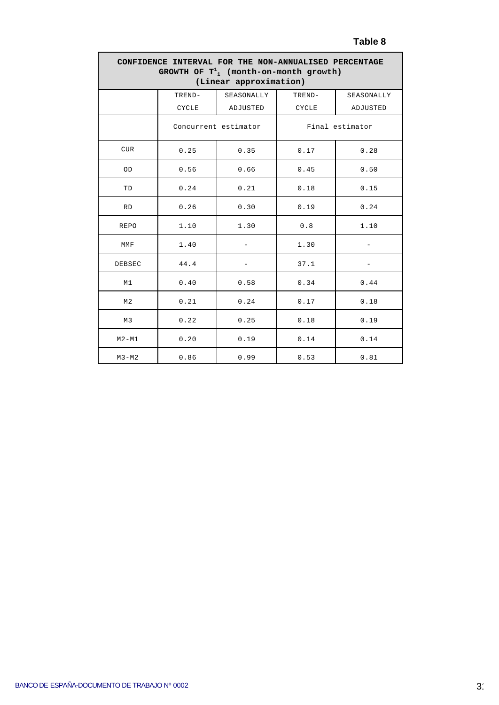#### **Table 8**

| CONFIDENCE INTERVAL FOR THE NON-ANNUALISED PERCENTAGE<br>GROWTH OF $T^1$ , (month-on-month growth)<br>(Linear approximation) |              |                          |                 |            |  |  |  |  |  |  |
|------------------------------------------------------------------------------------------------------------------------------|--------------|--------------------------|-----------------|------------|--|--|--|--|--|--|
|                                                                                                                              | TREND-       | SEASONALLY               | TREND-          | SEASONALLY |  |  |  |  |  |  |
|                                                                                                                              | <b>CYCLE</b> | ADJUSTED                 | <b>CYCLE</b>    | ADJUSTED   |  |  |  |  |  |  |
|                                                                                                                              |              | Concurrent estimator     | Final estimator |            |  |  |  |  |  |  |
| <b>CUR</b>                                                                                                                   | 0.25         | 0.35                     | 0.17            | 0.28       |  |  |  |  |  |  |
| OD                                                                                                                           | 0.56         | 0.66                     | 0.45            | 0.50       |  |  |  |  |  |  |
| TD                                                                                                                           | 0.24         | 0.21                     | 0.18            | 0.15       |  |  |  |  |  |  |
| <b>RD</b>                                                                                                                    | 0.26         | 0.30                     | 0.19            | 0.24       |  |  |  |  |  |  |
| <b>REPO</b>                                                                                                                  | 1.10         | 1.30                     | 0.8             | 1.10       |  |  |  |  |  |  |
| MMF                                                                                                                          | 1.40         | $\overline{\phantom{0}}$ | 1.30            |            |  |  |  |  |  |  |
| DEBSEC                                                                                                                       | 44.4         | $\overline{\phantom{0}}$ | 37.1            |            |  |  |  |  |  |  |
| M1                                                                                                                           | 0.40         | 0.58                     | 0.34            | 0.44       |  |  |  |  |  |  |
| M <sub>2</sub>                                                                                                               | 0.21         | 0.24                     | 0.17            | 0.18       |  |  |  |  |  |  |
| M3                                                                                                                           | 0.22         | 0.25                     | 0.18            | 0.19       |  |  |  |  |  |  |
| $M2 - M1$                                                                                                                    | 0.20         | 0.19                     | 0.14            | 0.14       |  |  |  |  |  |  |
| $M3-M2$                                                                                                                      | 0.86         | 0.99                     | 0.53            | 0.81       |  |  |  |  |  |  |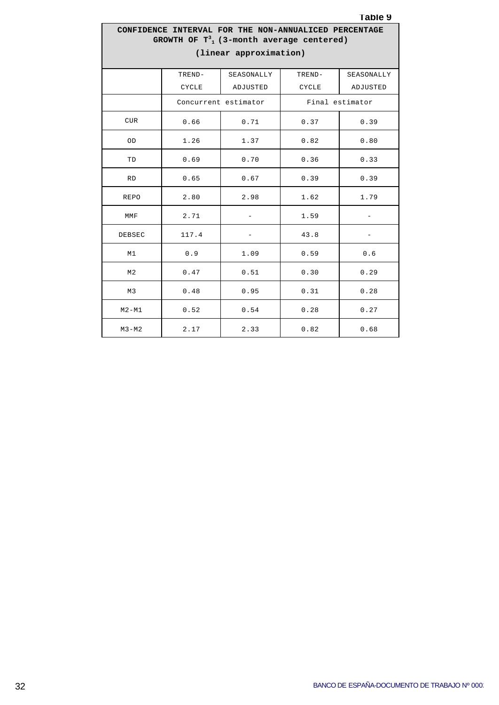#### **Table 9**

#### **CONFIDENCE INTERVAL FOR THE NON-ANNUALICED PERCENTAGE GROWTH OF T<sup>3</sup> <sup>1</sup>(3-month average centered) (linear approximation)**

|                | TREND-       | SEASONALLY               | TREND-       | SEASONALLY               |
|----------------|--------------|--------------------------|--------------|--------------------------|
|                | <b>CYCLE</b> | ADJUSTED                 | <b>CYCLE</b> | ADJUSTED                 |
|                |              | Concurrent estimator     |              | Final estimator          |
| CUR            | 0.66         | 0.71                     | 0.37         | 0.39                     |
| OD             | 1.26         | 1.37                     | 0.82         | 0.80                     |
| TD             | 0.69         | 0.70                     | 0.36         | 0.33                     |
| <b>RD</b>      | 0.65         | 0.67                     | 0.39         | 0.39                     |
| <b>REPO</b>    | 2.80         | 2.98                     | 1.62         | 1.79                     |
| MMF            | 2.71         | $-$                      | 1.59         | $\overline{\phantom{a}}$ |
| DEBSEC         | 117.4        | $\overline{\phantom{0}}$ | 43.8         |                          |
| M1             | 0.9          | 1.09                     | 0.59         | 0.6                      |
| M <sub>2</sub> | 0.47         | 0.51                     | 0.30         | 0.29                     |
| M <sub>3</sub> | 0.48         | 0.95                     | 0.31         | 0.28                     |
| $M2 - M1$      | 0.52         | 0.54                     | 0.28         | 0.27                     |
| $M3-M2$        | 2.17         | 2.33                     | 0.82         | 0.68                     |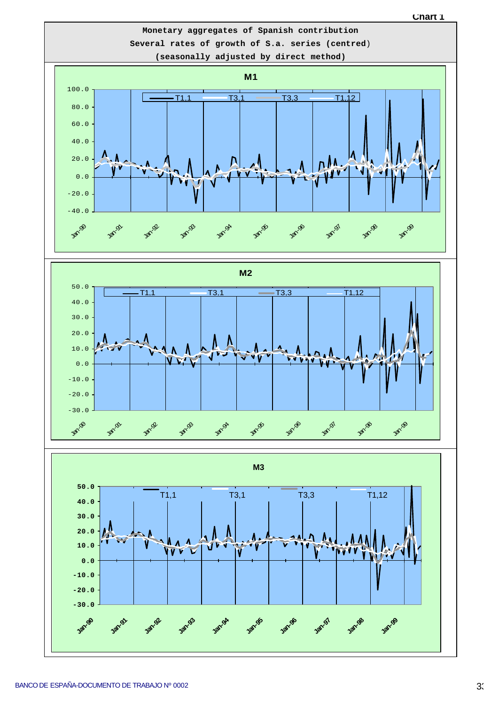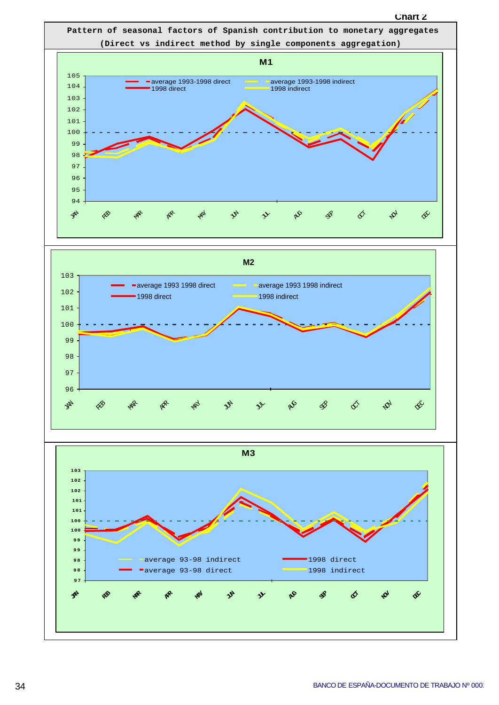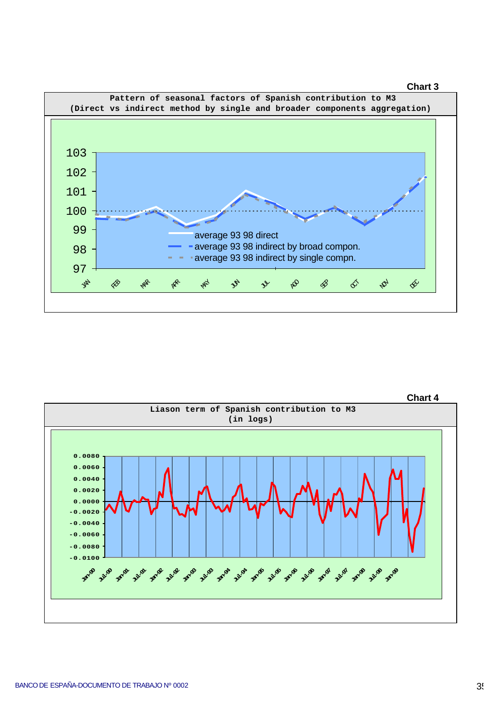



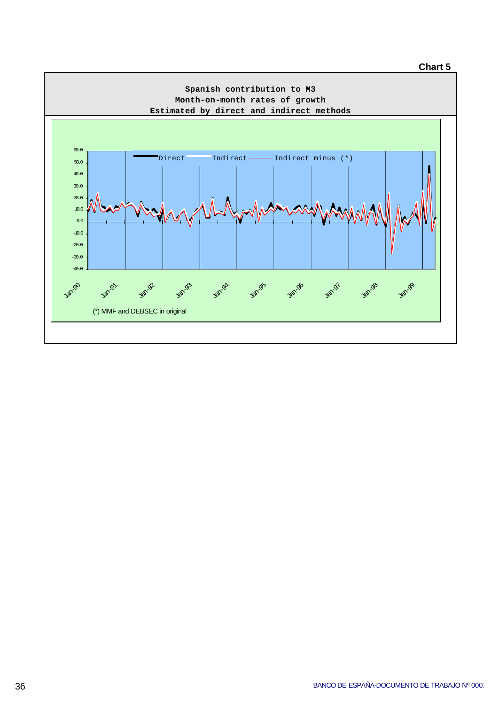#### **Chart 5**

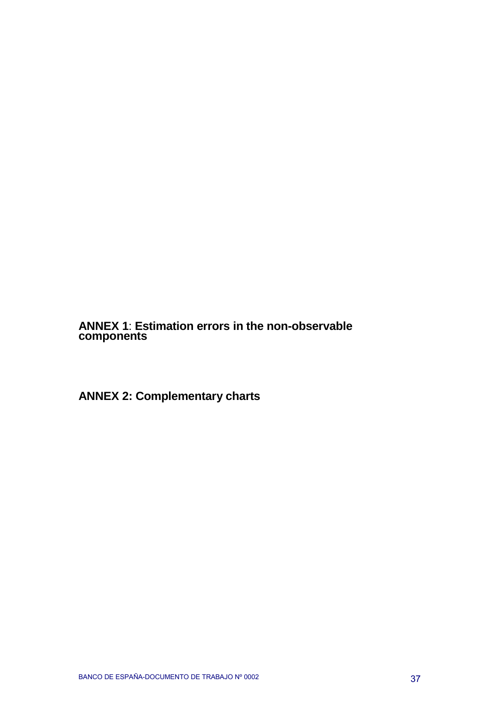**ANNEX 1**: **Estimation errors in the non-observable components**

**ANNEX 2: Complementary charts**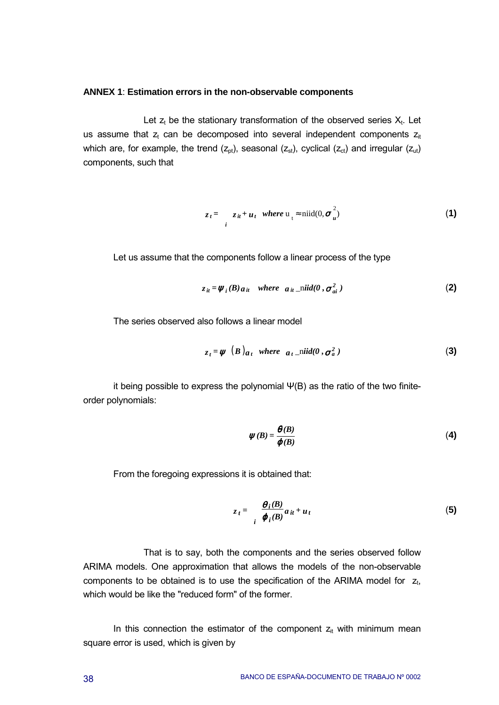#### **ANNEX 1**: **Estimation errors in the non-observable components**

Let  $z_t$  be the stationary transformation of the observed series  $X_t$ . Let us assume that  $z_t$  can be decomposed into several independent components  $z_{it}$ which are, for example, the trend  $(z_{\text{ot}})$ , seasonal  $(z_{\text{st}})$ , cyclical  $(z_{\text{ct}})$  and irregular  $(z_{\text{ut}})$ components, such that

$$
z_t = \sum_{i} z_{it} + u_t \quad \text{where } u_t \approx \text{niid}(0, \sigma_u^2) \tag{1}
$$

Let us assume that the components follow a linear process of the type

$$
z_{it} = \psi_i(B) a_{it} \quad \text{where} \quad a_{it} = \text{mid}(0, \sigma_{ai}^2)
$$
 (2)

The series observed also follows a linear model

$$
z_t = \psi \t(B) a_t \twhere \t a_t\_niid(0, \sigma_a^2)
$$
 (3)

it being possible to express the polynomial Ψ(B) as the ratio of the two finiteorder polynomials:

$$
\psi(B) = \frac{\theta(B)}{\phi(B)}\tag{4}
$$

From the foregoing expressions it is obtained that:

$$
z_t = \frac{\theta_i(B)}{\varphi_i(B)} a_{it} + u_t \tag{5}
$$

That is to say, both the components and the series observed follow ARIMA models. One approximation that allows the models of the non-observable components to be obtained is to use the specification of the ARIMA model for  $z_t$ , which would be like the "reduced form" of the former.

In this connection the estimator of the component  $z_{it}$  with minimum mean square error is used, which is given by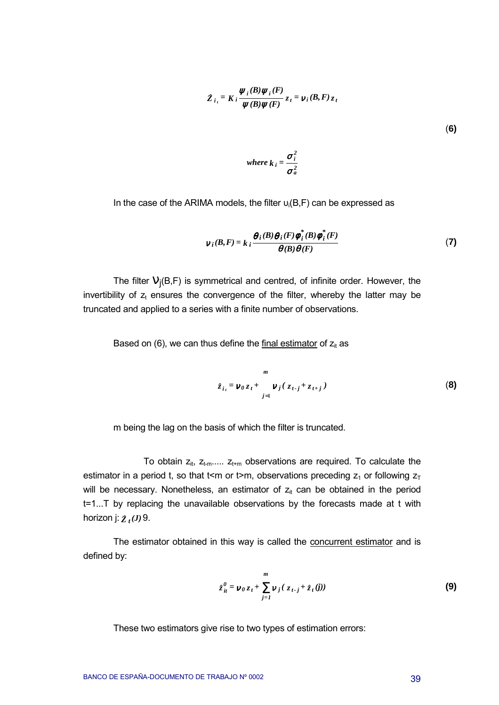$$
Z_{i_t} = K_i \frac{\psi_i(B)\psi_i(F)}{\psi(B)\psi(F)} z_t = v_i(B, F) z_t
$$
\n(6)

where 
$$
k_i = \frac{\sigma_i^2}{\sigma_a^2}
$$

In the case of the ARIMA models, the filter  $u_i(B, F)$  can be expressed as

$$
\nu_{i}(B,F) = k_{i} \frac{\theta_{i}(B)\theta_{i}(F)\phi_{i}^{*}(B)\phi_{i}^{*}(F)}{\theta(B)\theta(F)}
$$
(7)

The filter  $V_i(B, F)$  is symmetrical and centred, of infinite order. However, the invertibility of  $z_t$  ensures the convergence of the filter, whereby the latter may be truncated and applied to a series with a finite number of observations.

Based on (6), we can thus define the final estimator of  $z_{it}$  as

$$
m
$$
  

$$
\hat{z}_{i_{t}} = \nu_{0} z_{t} + \nu_{j} (z_{t-j} + z_{t+j})
$$
 (8)

m being the lag on the basis of which the filter is truncated.

To obtain  $z_{it}$ ,  $z_{t-m}$ .....  $z_{t+m}$  observations are required. To calculate the estimator in a period t, so that t<m or t>m, observations preceding  $z_1$  or following  $z_T$ will be necessary. Nonetheless, an estimator of  $z_{it}$  can be obtained in the period t=1...T by replacing the unavailable observations by the forecasts made at t with horizon j:  $\chi_t(J)$  9.

The estimator obtained in this way is called the concurrent estimator and is defined by:

$$
\hat{z}_{it}^{0} = \nu_0 z_t + \sum_{j=1}^{m} \nu_j (z_{t-j} + \hat{z}_t(j))
$$
 (9)

These two estimators give rise to two types of estimation errors: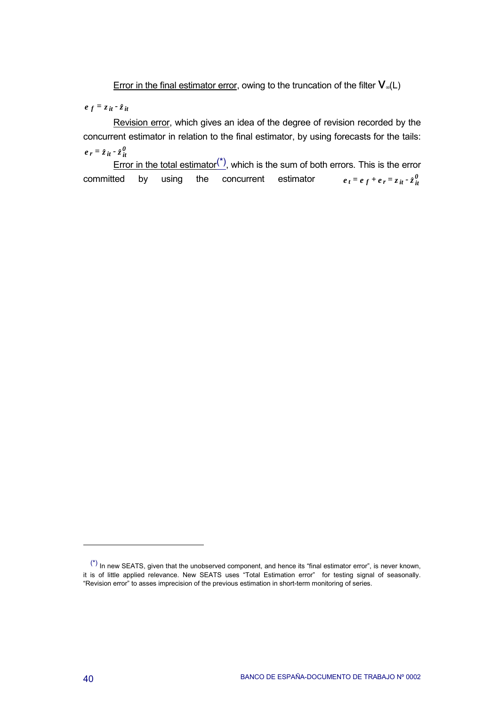Error in the final estimator error, owing to the truncation of the filter  $V_{\infty}(L)$ 

 $e^{f} = z^{i} + z^{i}$ 

Revision error, which gives an idea of the degree of revision recorded by the concurrent estimator in relation to the final estimator, by using forecasts for the tails:  $e_r = z_{it} - z_{it}^0$ 

 $\frac{1}{2}$  Error in the total estimator<sup>(\*)</sup>, which is the sum of both errors. This is the error committed by using the concurrent estimator  $e_t = e_f + e_r = z_{it} \cdot z_{it}^0$ 

 $(*)$  In new SEATS, given that the unobserved component, and hence its "final estimator error", is never known, it is of little applied relevance. New SEATS uses "Total Estimation error" for testing signal of seasonally. "Revision error" to asses imprecision of the previous estimation in short-term monitoring of series.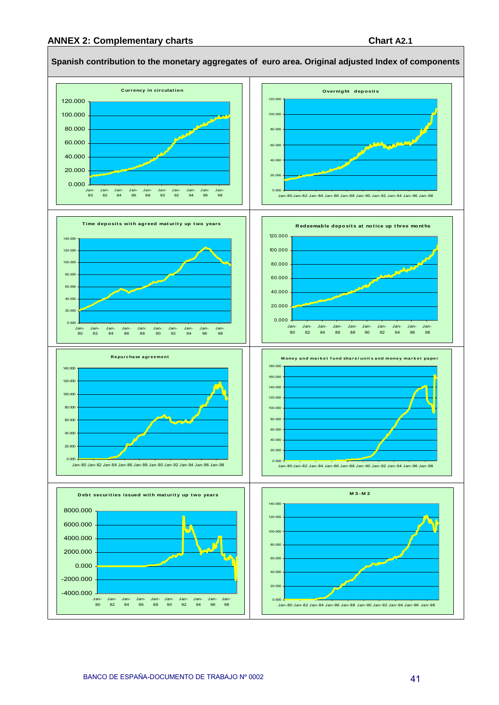#### **ANNEX 2: Complementary charts Chart A2.1**



#### **Spanish contribution to the monetary aggregates of euro area. Original adjusted Index of components**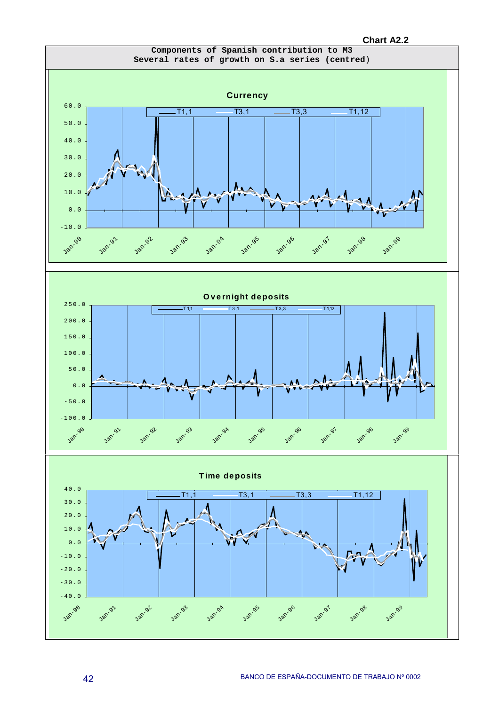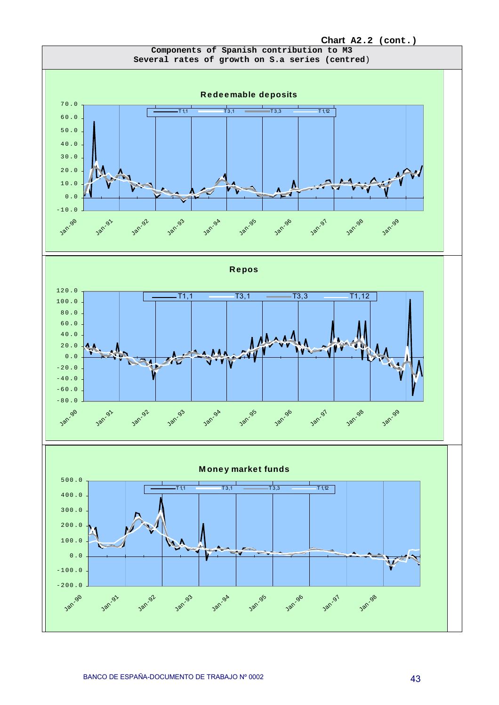